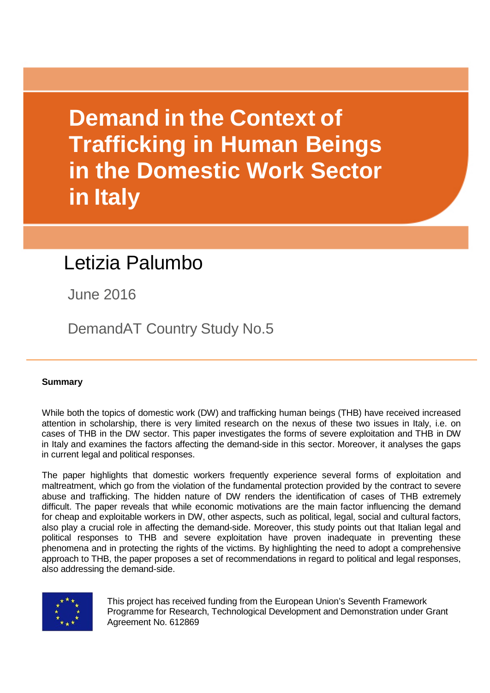**Demand in the Context of Trafficking in Human Beings in the Domestic Work Sector in Italy**

# Letizia Palumbo

June 2016

DemandAT Country Study No.5

## **Summary**

While both the topics of domestic work (DW) and trafficking human beings (THB) have received increased attention in scholarship, there is very limited research on the nexus of these two issues in Italy, i.e. on cases of THB in the DW sector. This paper investigates the forms of severe exploitation and THB in DW in Italy and examines the factors affecting the demand-side in this sector. Moreover, it analyses the gaps in current legal and political responses.

The paper highlights that domestic workers frequently experience several forms of exploitation and maltreatment, which go from the violation of the fundamental protection provided by the contract to severe abuse and trafficking. The hidden nature of DW renders the identification of cases of THB extremely difficult. The paper reveals that while economic motivations are the main factor influencing the demand for cheap and exploitable workers in DW, other aspects, such as political, legal, social and cultural factors, also play a crucial role in affecting the demand-side. Moreover, this study points out that Italian legal and political responses to THB and severe exploitation have proven inadequate in preventing these phenomena and in protecting the rights of the victims. By highlighting the need to adopt a comprehensive approach to THB, the paper proposes a set of recommendations in regard to political and legal responses, also addressing the demand-side.



This project has received funding from the European Union's Seventh Framework Programme for Research, Technological Development and Demonstration under Grant Agreement No. 612869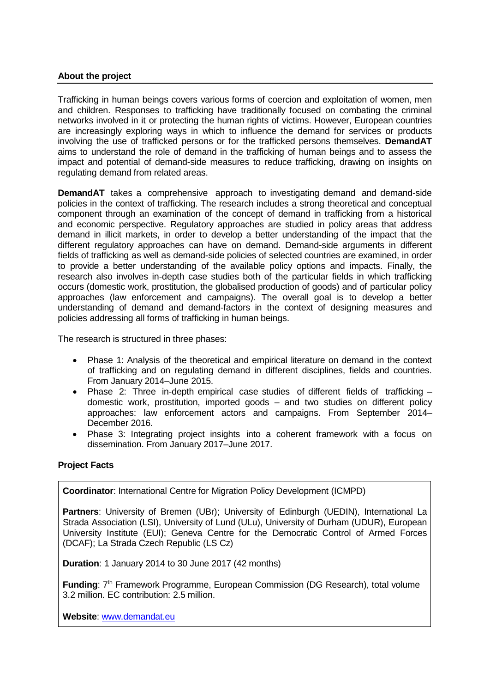#### **About the project**

Trafficking in human beings covers various forms of coercion and exploitation of women, men and children. Responses to trafficking have traditionally focused on combating the criminal networks involved in it or protecting the human rights of victims. However, European countries are increasingly exploring ways in which to influence the demand for services or products involving the use of trafficked persons or for the trafficked persons themselves. **DemandAT** aims to understand the role of demand in the trafficking of human beings and to assess the impact and potential of demand-side measures to reduce trafficking, drawing on insights on regulating demand from related areas.

**DemandAT** takes a comprehensive approach to investigating demand and demand-side policies in the context of trafficking. The research includes a strong theoretical and conceptual component through an examination of the concept of demand in trafficking from a historical and economic perspective. Regulatory approaches are studied in policy areas that address demand in illicit markets, in order to develop a better understanding of the impact that the different regulatory approaches can have on demand. Demand-side arguments in different fields of trafficking as well as demand-side policies of selected countries are examined, in order to provide a better understanding of the available policy options and impacts. Finally, the research also involves in-depth case studies both of the particular fields in which trafficking occurs (domestic work, prostitution, the globalised production of goods) and of particular policy approaches (law enforcement and campaigns). The overall goal is to develop a better understanding of demand and demand-factors in the context of designing measures and policies addressing all forms of trafficking in human beings.

The research is structured in three phases:

- Phase 1: Analysis of the theoretical and empirical literature on demand in the context of trafficking and on regulating demand in different disciplines, fields and countries. From January 2014–June 2015.
- Phase 2: Three in-depth empirical case studies of different fields of trafficking domestic work, prostitution, imported goods – and two studies on different policy approaches: law enforcement actors and campaigns. From September 2014– December 2016.
- Phase 3: Integrating project insights into a coherent framework with a focus on dissemination. From January 2017–June 2017.

#### **Project Facts**

**Coordinator**: International Centre for Migration Policy Development (ICMPD)

Partners: University of Bremen (UBr); University of Edinburgh (UEDIN), International La Strada Association (LSI), University of Lund (ULu), University of Durham (UDUR), European University Institute (EUI); Geneva Centre for the Democratic Control of Armed Forces (DCAF); La Strada Czech Republic (LS Cz)

**Duration**: 1 January 2014 to 30 June 2017 (42 months)

**Funding:** 7<sup>th</sup> Framework Programme, European Commission (DG Research), total volume 3.2 million. EC contribution: 2.5 million.

**Website**: [www.demandat.eu](http://www.demandat.eu/)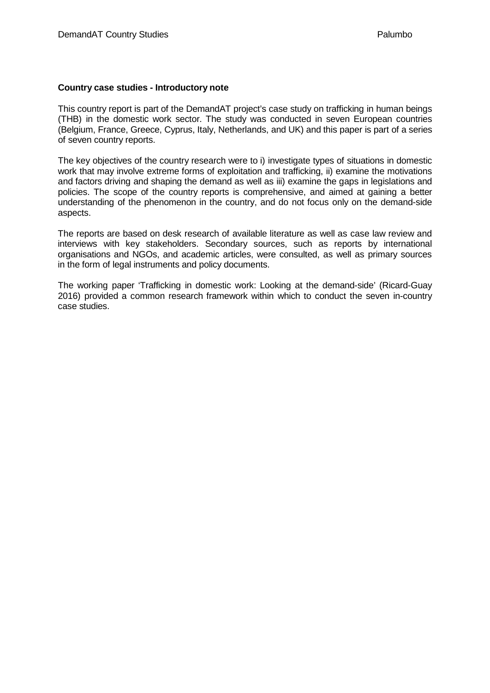#### **Country case studies - Introductory note**

This country report is part of the DemandAT project's case study on trafficking in human beings (THB) in the domestic work sector. The study was conducted in seven European countries (Belgium, France, Greece, Cyprus, Italy, Netherlands, and UK) and this paper is part of a series of seven country reports.

The key objectives of the country research were to i) investigate types of situations in domestic work that may involve extreme forms of exploitation and trafficking, ii) examine the motivations and factors driving and shaping the demand as well as iii) examine the gaps in legislations and policies. The scope of the country reports is comprehensive, and aimed at gaining a better understanding of the phenomenon in the country, and do not focus only on the demand-side aspects.

The reports are based on desk research of available literature as well as case law review and interviews with key stakeholders. Secondary sources, such as reports by international organisations and NGOs, and academic articles, were consulted, as well as primary sources in the form of legal instruments and policy documents.

The working paper 'Trafficking in domestic work: Looking at the demand-side' (Ricard-Guay 2016) provided a common research framework within which to conduct the seven in-country case studies.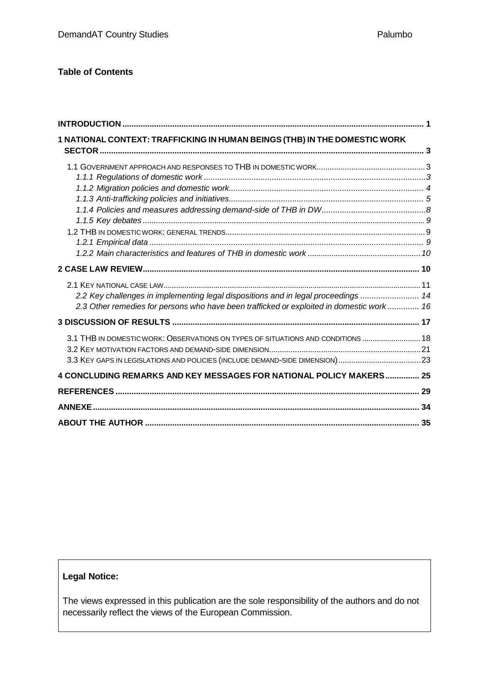#### **Table of Contents**

| 1 NATIONAL CONTEXT: TRAFFICKING IN HUMAN BEINGS (THB) IN THE DOMESTIC WORK                |  |
|-------------------------------------------------------------------------------------------|--|
|                                                                                           |  |
|                                                                                           |  |
|                                                                                           |  |
|                                                                                           |  |
|                                                                                           |  |
|                                                                                           |  |
|                                                                                           |  |
|                                                                                           |  |
|                                                                                           |  |
|                                                                                           |  |
|                                                                                           |  |
| 2.2 Key challenges in implementing legal dispositions and in legal proceedings  14        |  |
| 2.3 Other remedies for persons who have been trafficked or exploited in domestic work  16 |  |
|                                                                                           |  |
| 3.1 THB IN DOMESTIC WORK: OBSERVATIONS ON TYPES OF SITUATIONS AND CONDITIONS  18          |  |
|                                                                                           |  |
|                                                                                           |  |
| 4 CONCLUDING REMARKS AND KEY MESSAGES FOR NATIONAL POLICY MAKERS 25                       |  |
|                                                                                           |  |
|                                                                                           |  |
|                                                                                           |  |

## **Legal Notice:**

The views expressed in this publication are the sole responsibility of the authors and do not necessarily reflect the views of the European Commission.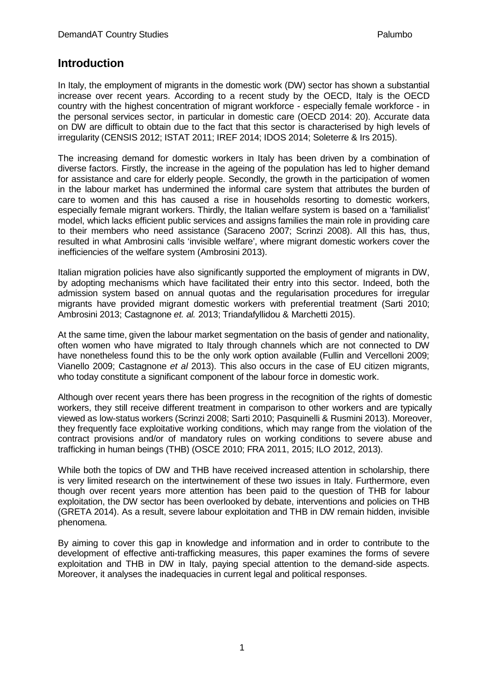# <span id="page-4-0"></span>**Introduction**

In Italy, the employment of migrants in the domestic work (DW) sector has shown a substantial increase over recent years. According to a recent study by the OECD, Italy is the OECD country with the highest concentration of migrant workforce - especially female workforce - in the personal services sector, in particular in domestic care (OECD 2014: 20). Accurate data on DW are difficult to obtain due to the fact that this sector is characterised by high levels of irregularity (CENSIS 2012; ISTAT 2011; IREF 2014; IDOS 2014; Soleterre & Irs 2015).

The increasing demand for domestic workers in Italy has been driven by a combination of diverse factors. Firstly, the increase in the ageing of the population has led to higher demand for assistance and care for elderly people. Secondly, the growth in the participation of women in the labour market has undermined the informal care system that attributes the burden of care to women and this has caused a rise in households resorting to domestic workers, especially female migrant workers. Thirdly, the Italian welfare system is based on a 'familialist' model, which lacks efficient public services and assigns families the main role in providing care to their members who need assistance (Saraceno 2007; Scrinzi 2008). All this has, thus, resulted in what Ambrosini calls 'invisible welfare', where migrant domestic workers cover the inefficiencies of the welfare system (Ambrosini 2013).

Italian migration policies have also significantly supported the employment of migrants in DW. by adopting mechanisms which have facilitated their entry into this sector. Indeed, both the admission system based on annual quotas and the regularisation procedures for irregular migrants have provided migrant domestic workers with preferential treatment (Sarti 2010; Ambrosini 2013; Castagnone *et. al.* 2013; Triandafyllidou & Marchetti 2015).

At the same time, given the labour market segmentation on the basis of gender and nationality, often women who have migrated to Italy through channels which are not connected to DW have nonetheless found this to be the only work option available (Fullin and Vercelloni 2009; Vianello 2009; Castagnone *et al* 2013). This also occurs in the case of EU citizen migrants, who today constitute a significant component of the labour force in domestic work.

Although over recent years there has been progress in the recognition of the rights of domestic workers, they still receive different treatment in comparison to other workers and are typically viewed as low-status workers (Scrinzi 2008; Sarti 2010; Pasquinelli & Rusmini 2013). Moreover, they frequently face exploitative working conditions, which may range from the violation of the contract provisions and/or of mandatory rules on working conditions to severe abuse and trafficking in human beings (THB) (OSCE 2010; FRA 2011, 2015; ILO 2012, 2013).

While both the topics of DW and THB have received increased attention in scholarship, there is very limited research on the intertwinement of these two issues in Italy. Furthermore, even though over recent years more attention has been paid to the question of THB for labour exploitation, the DW sector has been overlooked by debate, interventions and policies on THB (GRETA 2014). As a result, severe labour exploitation and THB in DW remain hidden, invisible phenomena.

By aiming to cover this gap in knowledge and information and in order to contribute to the development of effective anti-trafficking measures, this paper examines the forms of severe exploitation and THB in DW in Italy, paying special attention to the demand-side aspects. Moreover, it analyses the inadequacies in current legal and political responses.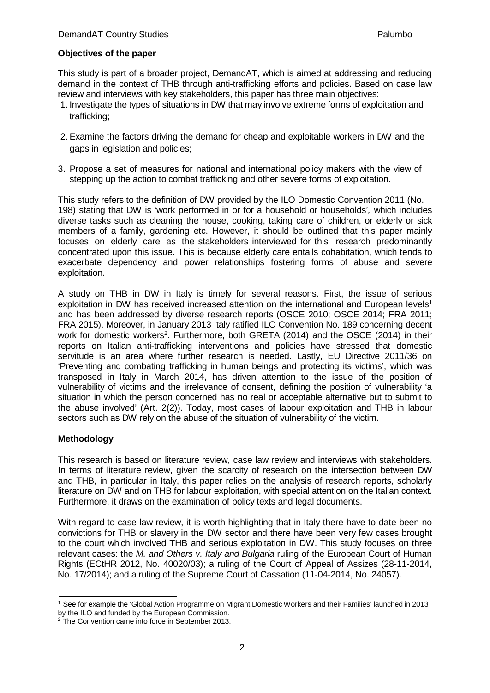#### **Objectives of the paper**

This study is part of a broader project, DemandAT, which is aimed at addressing and reducing demand in the context of THB through anti-trafficking efforts and policies. Based on case law review and interviews with key stakeholders, this paper has three main objectives:

- 1. Investigate the types of situations in DW that may involve extreme forms of exploitation and trafficking;
- 2. Examine the factors driving the demand for cheap and exploitable workers in DW and the gaps in legislation and policies;
- 3. Propose a set of measures for national and international policy makers with the view of stepping up the action to combat trafficking and other severe forms of exploitation.

This study refers to the definition of DW provided by the ILO Domestic Convention 2011 (No. 198) stating that DW is 'work performed in or for a household or households'*,* which includes diverse tasks such as cleaning the house, cooking, taking care of children, or elderly or sick members of a family, gardening etc. However, it should be outlined that this paper mainly focuses on elderly care as the stakeholders interviewed for this research predominantly concentrated upon this issue. This is because elderly care entails cohabitation, which tends to exacerbate dependency and power relationships fostering forms of abuse and severe exploitation.

A study on THB in DW in Italy is timely for several reasons. First, the issue of serious exploitation in DW has received increased attention on the international and European levels<sup>1</sup> and has been addressed by diverse research reports (OSCE 2010; OSCE 2014; FRA 2011; FRA 2015). Moreover, in January 2013 Italy ratified ILO Convention No. 189 concerning decent work for domestic workers<sup>2</sup>. Furthermore, both GRETA (2014) and the OSCE (2014) in their reports on Italian anti-trafficking interventions and policies have stressed that domestic servitude is an area where further research is needed. Lastly, EU Directive 2011/36 on 'Preventing and combating trafficking in human beings and protecting its victims', which was transposed in Italy in March 2014, has driven attention to the issue of the position of vulnerability of victims and the irrelevance of consent, defining the position of vulnerability 'a situation in which the person concerned has no real or acceptable alternative but to submit to the abuse involved' (Art. 2(2)). Today, most cases of labour exploitation and THB in labour sectors such as DW rely on the abuse of the situation of vulnerability of the victim.

#### **Methodology**

This research is based on literature review, case law review and interviews with stakeholders. In terms of literature review, given the scarcity of research on the intersection between DW and THB, in particular in Italy, this paper relies on the analysis of research reports, scholarly literature on DW and on THB for labour exploitation, with special attention on the Italian context. Furthermore, it draws on the examination of policy texts and legal documents.

With regard to case law review, it is worth highlighting that in Italy there have to date been no convictions for THB or slavery in the DW sector and there have been very few cases brought to the court which involved THB and serious exploitation in DW. This study focuses on three relevant cases: the *M. and Others v. Italy and Bulgaria* ruling of the European Court of Human Rights (ECtHR 2012, No. 40020/03); a ruling of the Court of Appeal of Assizes (28-11-2014, No. 17/2014); and a ruling of the Supreme Court of Cassation (11-04-2014, No. 24057).

<span id="page-5-0"></span><sup>1</sup> See for example the 'Global Action Programme on Migrant Domestic Workers and their Families' launched in 2013 by the ILO and funded by the European Commission.

<span id="page-5-1"></span><sup>2</sup> The Convention came into force in September 2013.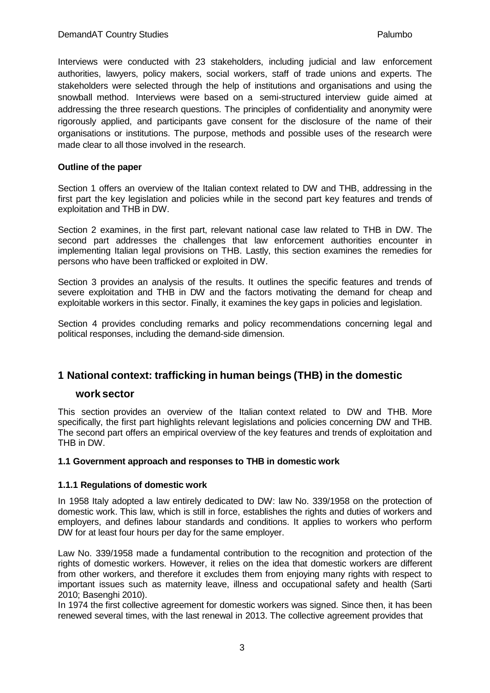Interviews were conducted with 23 stakeholders, including judicial and law enforcement authorities, lawyers, policy makers, social workers, staff of trade unions and experts. The stakeholders were selected through the help of institutions and organisations and using the snowball method. Interviews were based on a semi-structured interview guide aimed at addressing the three research questions. The principles of confidentiality and anonymity were rigorously applied, and participants gave consent for the disclosure of the name of their organisations or institutions. The purpose, methods and possible uses of the research were made clear to all those involved in the research.

#### **Outline of the paper**

Section 1 offers an overview of the Italian context related to DW and THB, addressing in the first part the key legislation and policies while in the second part key features and trends of exploitation and THB in DW.

Section 2 examines, in the first part, relevant national case law related to THB in DW. The second part addresses the challenges that law enforcement authorities encounter in implementing Italian legal provisions on THB. Lastly, this section examines the remedies for persons who have been trafficked or exploited in DW.

Section 3 provides an analysis of the results. It outlines the specific features and trends of severe exploitation and THB in DW and the factors motivating the demand for cheap and exploitable workers in this sector. Finally, it examines the key gaps in policies and legislation.

Section 4 provides concluding remarks and policy recommendations concerning legal and political responses, including the demand-side dimension.

## <span id="page-6-0"></span>**1 National context: trafficking in human beings (THB) in the domestic**

#### **work sector**

This section provides an overview of the Italian context related to DW and THB. More specifically, the first part highlights relevant legislations and policies concerning DW and THB. The second part offers an empirical overview of the key features and trends of exploitation and THB in DW.

#### <span id="page-6-1"></span>**1.1 Government approach and responses to THB in domestic work**

#### <span id="page-6-2"></span>**1.1.1 Regulations of domestic work**

In 1958 Italy adopted a law entirely dedicated to DW: law No. 339/1958 on the protection of domestic work. This law, which is still in force, establishes the rights and duties of workers and employers, and defines labour standards and conditions. It applies to workers who perform DW for at least four hours per day for the same employer.

Law No. 339/1958 made a fundamental contribution to the recognition and protection of the rights of domestic workers. However, it relies on the idea that domestic workers are different from other workers, and therefore it excludes them from enjoying many rights with respect to important issues such as maternity leave, illness and occupational safety and health (Sarti 2010; Basenghi 2010).

In 1974 the first collective agreement for domestic workers was signed. Since then, it has been renewed several times, with the last renewal in 2013. The collective agreement provides that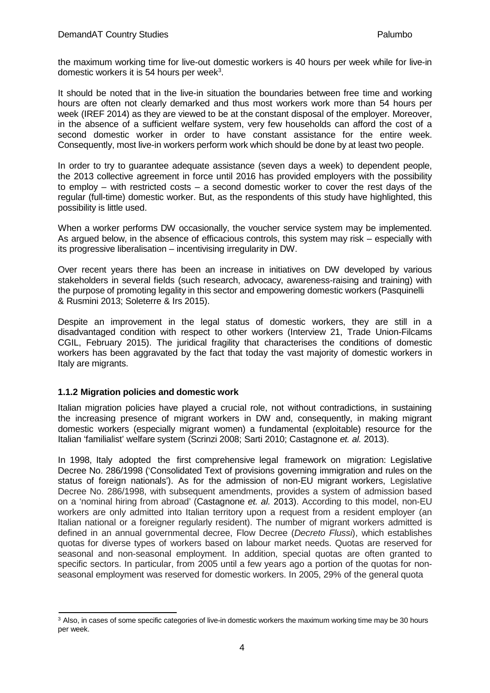the maximum working time for live-out domestic workers is 40 hours per week while for live-in domestic workers it is 54 hours per week<sup>3</sup>.

It should be noted that in the live-in situation the boundaries between free time and working hours are often not clearly demarked and thus most workers work more than 54 hours per week (IREF 2014) as they are viewed to be at the constant disposal of the employer. Moreover, in the absence of a sufficient welfare system, very few households can afford the cost of a second domestic worker in order to have constant assistance for the entire week. Consequently, most live-in workers perform work which should be done by at least two people.

In order to try to guarantee adequate assistance (seven days a week) to dependent people, the 2013 collective agreement in force until 2016 has provided employers with the possibility to employ – with restricted costs – a second domestic worker to cover the rest days of the regular (full-time) domestic worker. But, as the respondents of this study have highlighted, this possibility is little used.

When a worker performs DW occasionally, the voucher service system may be implemented. As argued below, in the absence of efficacious controls, this system may risk – especially with its progressive liberalisation – incentivising irregularity in DW.

Over recent years there has been an increase in initiatives on DW developed by various stakeholders in several fields (such research, advocacy, awareness-raising and training) with the purpose of promoting legality in this sector and empowering domestic workers (Pasquinelli & Rusmini 2013; Soleterre & Irs 2015).

Despite an improvement in the legal status of domestic workers, they are still in a disadvantaged condition with respect to other workers (Interview 21, Trade Union-Filcams CGIL, February 2015). The juridical fragility that characterises the conditions of domestic workers has been aggravated by the fact that today the vast majority of domestic workers in Italy are migrants.

#### <span id="page-7-0"></span>**1.1.2 Migration policies and domestic work**

Italian migration policies have played a crucial role, not without contradictions, in sustaining the increasing presence of migrant workers in DW and, consequently, in making migrant domestic workers (especially migrant women) a fundamental (exploitable) resource for the Italian 'familialist' welfare system (Scrinzi 2008; Sarti 2010; Castagnone *et. al.* 2013).

In 1998, Italy adopted the first comprehensive legal framework on migration: Legislative Decree No. 286/1998 ('Consolidated Text of provisions governing immigration and rules on the status of foreign nationals'). As for the admission of non-EU migrant workers, Legislative Decree No. 286/1998, with subsequent amendments, provides a system of admission based on a 'nominal hiring from abroad' (Castagnone *et. al.* 2013). According to this model, non-EU workers are only admitted into Italian territory upon a request from a resident employer (an Italian national or a foreigner regularly resident). The number of migrant workers admitted is defined in an annual governmental decree, Flow Decree (*Decreto Flussi*), which establishes quotas for diverse types of workers based on labour market needs. Quotas are reserved for seasonal and non-seasonal employment. In addition, special quotas are often granted to specific sectors. In particular, from 2005 until a few years ago a portion of the quotas for nonseasonal employment was reserved for domestic workers. In 2005, 29% of the general quota

<span id="page-7-1"></span><sup>&</sup>lt;sup>3</sup> Also, in cases of some specific categories of live-in domestic workers the maximum working time may be 30 hours per week.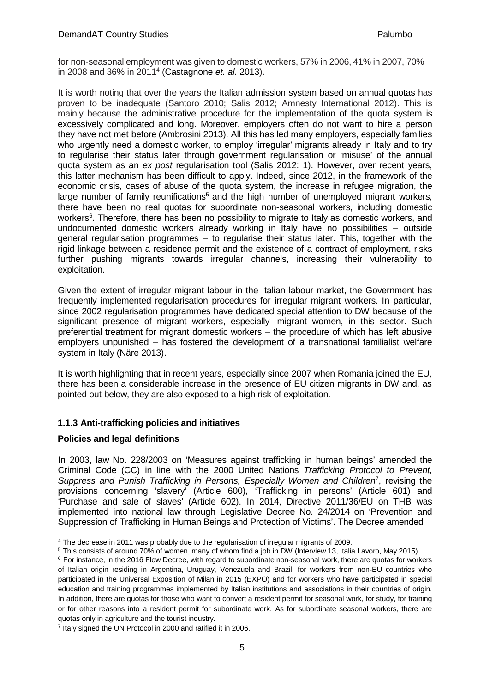for non-seasonal employment was given to domestic workers, 57% in 2006, 41% in 2007, 70% in 2008 and 36% in 201[14](#page-8-1) (Castagnone *et. al.* 2013).

It is worth noting that over the years the Italian admission system based on annual quotas has proven to be inadequate (Santoro 2010; Salis 2012; Amnesty International 2012). This is mainly because the administrative procedure for the implementation of the quota system is excessively complicated and long. Moreover, employers often do not want to hire a person they have not met before (Ambrosini 2013). All this has led many employers, especially families who urgently need a domestic worker, to employ 'irregular' migrants already in Italy and to try to regularise their status later through government regularisation or 'misuse' of the annual quota system as an *ex post* regularisation tool (Salis 2012: 1). However, over recent years, this latter mechanism has been difficult to apply. Indeed, since 2012, in the framework of the economic crisis, cases of abuse of the quota system, the increase in refugee migration, the large number of family reunifications<sup>5</sup> and the high number of unemployed migrant workers, there have been no real quotas for subordinate non-seasonal workers, including domestic workers<sup>6</sup>. Therefore, there has been no possibility to migrate to Italy as domestic workers, and undocumented domestic workers already working in Italy have no possibilities – outside general regularisation programmes – to regularise their status later. This, together with the rigid linkage between a residence permit and the existence of a contract of employment, risks further pushing migrants towards irregular channels, increasing their vulnerability to exploitation.

Given the extent of irregular migrant labour in the Italian labour market, the Government has frequently implemented regularisation procedures for irregular migrant workers. In particular, since 2002 regularisation programmes have dedicated special attention to DW because of the significant presence of migrant workers, especially migrant women, in this sector. Such preferential treatment for migrant domestic workers – the procedure of which has left abusive employers unpunished – has fostered the development of a transnational familialist welfare system in Italy (Näre 2013).

It is worth highlighting that in recent years, especially since 2007 when Romania joined the EU, there has been a considerable increase in the presence of EU citizen migrants in DW and, as pointed out below, they are also exposed to a high risk of exploitation.

## <span id="page-8-0"></span>**1.1.3 Anti-trafficking policies and initiatives**

## **Policies and legal definitions**

In 2003, law No. 228/2003 on 'Measures against trafficking in human beings' amended the Criminal Code (CC) in line with the 2000 United Nations *Trafficking Protocol to Prevent, Suppress and Punish Trafficking in Persons, Especially Women and Children*[7](#page-8-4) , revising the provisions concerning 'slavery' (Article 600), 'Trafficking in persons' (Article 601) and 'Purchase and sale of slaves' (Article 602). In 2014, Directive 2011/36/EU on THB was implemented into national law through Legislative Decree No. 24/2014 on 'Prevention and Suppression of Trafficking in Human Beings and Protection of Victims'. The Decree amended

<span id="page-8-1"></span><sup>4</sup> The decrease in 2011 was probably due to the regularisation of irregular migrants of 2009.

<span id="page-8-2"></span><sup>5</sup> This consists of around 70% of women, many of whom find a job in DW (Interview 13, Italia Lavoro, May 2015).

<span id="page-8-3"></span><sup>&</sup>lt;sup>6</sup> For instance, in the 2016 Flow Decree, with regard to subordinate non-seasonal work, there are quotas for workers of Italian origin residing in Argentina, Uruguay, Venezuela and Brazil, for workers from non-EU countries who participated in the Universal Exposition of Milan in 2015 (EXPO) and for workers who have participated in special education and training programmes implemented by Italian institutions and associations in their countries of origin. In addition, there are quotas for those who want to convert a resident permit for seasonal work, for study, for training or for other reasons into a resident permit for subordinate work. As for subordinate seasonal workers, there are quotas only in agriculture and the tourist industry.

<span id="page-8-4"></span><sup>7</sup> Italy signed the UN Protocol in 2000 and ratified it in 2006.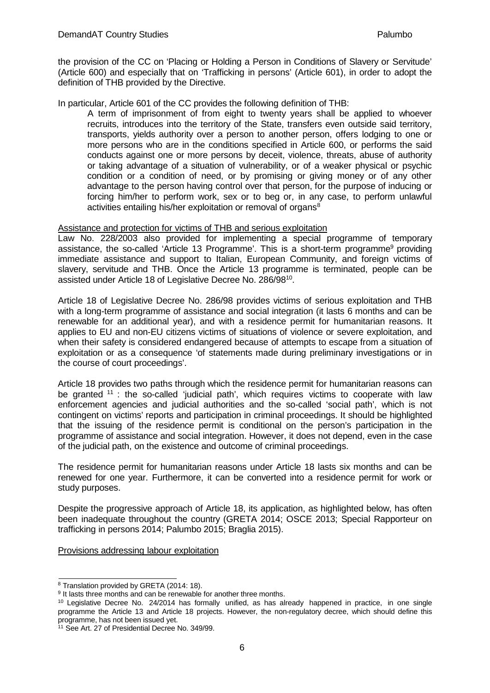the provision of the CC on 'Placing or Holding a Person in Conditions of Slavery or Servitude' (Article 600) and especially that on 'Trafficking in persons' (Article 601), in order to adopt the definition of THB provided by the Directive.

In particular, Article 601 of the CC provides the following definition of THB:

A term of imprisonment of from eight to twenty years shall be applied to whoever recruits, introduces into the territory of the State, transfers even outside said territory, transports, yields authority over a person to another person, offers lodging to one or more persons who are in the conditions specified in Article 600, or performs the said conducts against one or more persons by deceit, violence, threats, abuse of authority or taking advantage of a situation of vulnerability, or of a weaker physical or psychic condition or a condition of need, or by promising or giving money or of any other advantage to the person having control over that person, for the purpose of inducing or forcing him/her to perform work, sex or to beg or, in any case, to perform unlawful activities entailing his/her exploitation or removal of organs<sup>8</sup>

#### Assistance and protection for victims of THB and serious exploitation

Law No. 228/2003 also provided for implementing a special programme of temporary assistance, the so-called 'Article 13 Programme'. This is a short-term programm[e9](#page-9-1) providing immediate assistance and support to Italian, European Community, and foreign victims of slavery, servitude and THB. Once the Article 13 programme is terminated, people can be assisted under Article 18 of Legislative Decree No. 286/9[810.](#page-9-2)

Article 18 of Legislative Decree No. 286/98 provides victims of serious exploitation and THB with a long-term programme of assistance and social integration (it lasts 6 months and can be renewable for an additional year), and with a residence permit for humanitarian reasons. It applies to EU and non-EU citizens victims of situations of violence or severe exploitation, and when their safety is considered endangered because of attempts to escape from a situation of exploitation or as a consequence 'of statements made during preliminary investigations or in the course of court proceedings'.

Article 18 provides two paths through which the residence permit for humanitarian reasons can be granted <sup>[11](#page-9-3)</sup> : the so-called 'judicial path', which requires victims to cooperate with law enforcement agencies and judicial authorities and the so-called 'social path', which is not contingent on victims' reports and participation in criminal proceedings. It should be highlighted that the issuing of the residence permit is conditional on the person's participation in the programme of assistance and social integration. However, it does not depend, even in the case of the judicial path, on the existence and outcome of criminal proceedings.

The residence permit for humanitarian reasons under Article 18 lasts six months and can be renewed for one year. Furthermore, it can be converted into a residence permit for work or study purposes.

Despite the progressive approach of Article 18, its application, as highlighted below, has often been inadequate throughout the country (GRETA 2014; OSCE 2013; Special Rapporteur on trafficking in persons 2014; Palumbo 2015; Braglia 2015).

Provisions addressing labour exploitation

<span id="page-9-0"></span><sup>8</sup> Translation provided by GRETA (2014: 18).

<span id="page-9-1"></span><sup>&</sup>lt;sup>9</sup> It lasts three months and can be renewable for another three months.

<span id="page-9-2"></span><sup>&</sup>lt;sup>10</sup> Legislative Decree No. 24/2014 has formally unified, as has already happened in practice, in one single programme the Article 13 and Article 18 projects. However, the non-regulatory decree, which should define this programme, has not been issued yet.

<span id="page-9-3"></span><sup>11</sup> See Art. 27 of Presidential Decree No. 349/99.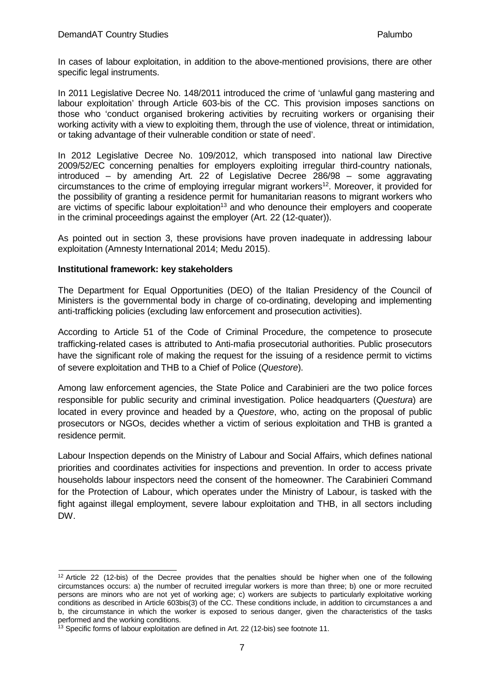In cases of labour exploitation, in addition to the above-mentioned provisions, there are other specific legal instruments.

In 2011 Legislative Decree No. 148/2011 introduced the crime of 'unlawful gang mastering and labour exploitation' through Article 603-bis of the CC. This provision imposes sanctions on those who 'conduct organised brokering activities by recruiting workers or organising their working activity with a view to exploiting them, through the use of violence, threat or intimidation, or taking advantage of their vulnerable condition or state of need'.

In 2012 Legislative Decree No. 109/2012, which transposed into national law Directive 2009/52/EC concerning penalties for employers exploiting irregular third-country nationals, introduced – by amending Art. 22 of Legislative Decree 286/98 – some aggravating circumstances to the crime of employing irregular migrant workers<sup>12</sup>. Moreover, it provided for the possibility of granting a residence permit for humanitarian reasons to migrant workers who are victims of specific labour exploitation<sup>13</sup> and who denounce their employers and cooperate in the criminal proceedings against the employer (Art. 22 (12-quater)).

As pointed out in section 3, these provisions have proven inadequate in addressing labour exploitation (Amnesty International 2014; Medu 2015).

#### **Institutional framework: key stakeholders**

The Department for Equal Opportunities (DEO) of the Italian Presidency of the Council of Ministers is the governmental body in charge of co-ordinating, developing and implementing anti-trafficking policies (excluding law enforcement and prosecution activities).

According to Article 51 of the Code of Criminal Procedure, the competence to prosecute trafficking-related cases is attributed to Anti-mafia prosecutorial authorities. Public prosecutors have the significant role of making the request for the issuing of a residence permit to victims of severe exploitation and THB to a Chief of Police (*Questore*).

Among law enforcement agencies, the State Police and Carabinieri are the two police forces responsible for public security and criminal investigation. Police headquarters (*Questura*) are located in every province and headed by a *Questore*, who, acting on the proposal of public prosecutors or NGOs, decides whether a victim of serious exploitation and THB is granted a residence permit.

Labour Inspection depends on the Ministry of Labour and Social Affairs, which defines national priorities and coordinates activities for inspections and prevention. In order to access private households labour inspectors need the consent of the homeowner. The Carabinieri Command for the Protection of Labour, which operates under the Ministry of Labour, is tasked with the fight against illegal employment, severe labour exploitation and THB, in all sectors including DW.

<span id="page-10-0"></span><sup>&</sup>lt;sup>12</sup> Article 22 (12-bis) of the Decree provides that the penalties should be higher when one of the following circumstances occurs: a) the number of recruited irregular workers is more than three; b) one or more recruited persons are minors who are not yet of working age; c) workers are subjects to particularly exploitative working conditions as described in Article 603bis(3) of the CC. These conditions include, in addition to circumstances a and b, the circumstance in which the worker is exposed to serious danger, given the characteristics of the tasks performed and the working conditions.

<span id="page-10-1"></span><sup>&</sup>lt;sup>13</sup> Specific forms of labour exploitation are defined in Art. 22 (12-bis) see footnote 11.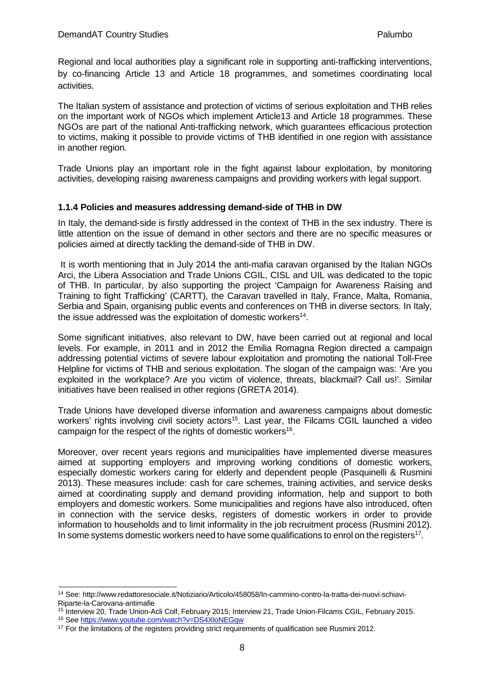Regional and local authorities play a significant role in supporting anti-trafficking interventions, by co-financing Article 13 and Article 18 programmes, and sometimes coordinating local activities.

The Italian system of assistance and protection of victims of serious exploitation and THB relies on the important work of NGOs which implement Article13 and Article 18 programmes. These NGOs are part of the national Anti-trafficking network, which guarantees efficacious protection to victims, making it possible to provide victims of THB identified in one region with assistance in another region.

Trade Unions play an important role in the fight against labour exploitation, by monitoring activities, developing raising awareness campaigns and providing workers with legal support.

## <span id="page-11-0"></span>**1.1.4 Policies and measures addressing demand-side of THB in DW**

In Italy, the demand-side is firstly addressed in the context of THB in the sex industry. There is little attention on the issue of demand in other sectors and there are no specific measures or policies aimed at directly tackling the demand-side of THB in DW.

It is worth mentioning that in July 2014 the anti-mafia caravan organised by the Italian NGOs Arci, the Libera Association and Trade Unions CGIL, CISL and UIL was dedicated to the topic of THB. In particular, by also supporting the project 'Campaign for Awareness Raising and Training to fight Trafficking' (CARTT), the Caravan travelled in Italy, France, Malta, Romania, Serbia and Spain, organising public events and conferences on THB in diverse sectors. In Italy, the issue addressed was the exploitation of domestic workers<sup>14</sup>.

Some significant initiatives, also relevant to DW, have been carried out at regional and local levels. For example, in 2011 and in 2012 the Emilia Romagna Region directed a campaign addressing potential victims of severe labour exploitation and promoting the national Toll-Free Helpline for victims of THB and serious exploitation. The slogan of the campaign was: 'Are you exploited in the workplace? Are you victim of violence, threats, blackmail? Call us!'. Similar initiatives have been realised in other regions (GRETA 2014).

Trade Unions have developed diverse information and awareness campaigns about domestic workers' rights involving civil society actors<sup>15</sup>. Last year, the Filcams CGIL launched a video campaign for the respect of the rights of domestic workers<sup>16</sup>.

Moreover, over recent years regions and municipalities have implemented diverse measures aimed at supporting employers and improving working conditions of domestic workers, especially domestic workers caring for elderly and dependent people (Pasquinelli & Rusmini 2013). These measures include: cash for care schemes, training activities, and service desks aimed at coordinating supply and demand providing information, help and support to both employers and domestic workers. Some municipalities and regions have also introduced, often in connection with the service desks, registers of domestic workers in order to provide information to households and to limit informality in the job recruitment process (Rusmini 2012). In some systems domestic workers need to have some qualifications to enrol on the registers<sup>17</sup>.

<span id="page-11-1"></span><sup>14</sup> See: <http://www.redattoresociale.it/Notiziario/Articolo/458058/In-cammino-contro-la-tratta-dei-nuovi-schiavi->Riparte-la-Carovana-antimafie

<span id="page-11-3"></span><span id="page-11-2"></span><sup>&</sup>lt;sup>15</sup> Interview 20, Trade Union-Acli Colf, February 2015; Interview 21, Trade Union-Filcams CGIL, February 2015. 16 See <https://www.youtube.com/watch?v=DS4XloNEGqw>

<span id="page-11-4"></span><sup>&</sup>lt;sup>17</sup> For the limitations of the registers providing strict requirements of qualification see Rusmini 2012.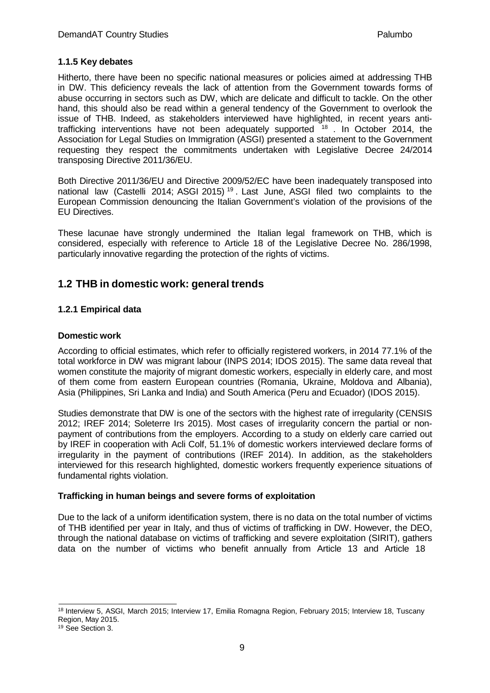#### <span id="page-12-0"></span>**1.1.5 Key debates**

Hitherto, there have been no specific national measures or policies aimed at addressing THB in DW. This deficiency reveals the lack of attention from the Government towards forms of abuse occurring in sectors such as DW, which are delicate and difficult to tackle. On the other hand, this should also be read within a general tendency of the Government to overlook the issue of THB. Indeed, as stakeholders interviewed have highlighted, in recent years antitrafficking interventions have not been adequately supported  $18$ . In October 2014, the Association for Legal Studies on Immigration (ASGI) presented a statement to the Government requesting they respect the commitments undertaken with Legislative Decree 24/2014 transposing Directive 2011/36/EU.

Both Directive 2011/36/EU and Directive 2009/52/EC have been inadequately transposed into national law (Castelli 2014; ASGI 2015) [19](#page-12-4) . Last June, ASGI filed two complaints to the European Commission denouncing the Italian Government's violation of the provisions of the EU Directives.

These lacunae have strongly undermined the Italian legal framework on THB, which is considered, especially with reference to Article 18 of the Legislative Decree No. 286/1998, particularly innovative regarding the protection of the rights of victims.

# <span id="page-12-2"></span><span id="page-12-1"></span>**1.2 THB in domestic work: general trends**

## **1.2.1 Empirical data**

#### **Domestic work**

According to official estimates, which refer to officially registered workers, in 2014 77.1% of the total workforce in DW was migrant labour (INPS 2014; IDOS 2015). The same data reveal that women constitute the majority of migrant domestic workers, especially in elderly care, and most of them come from eastern European countries (Romania, Ukraine, Moldova and Albania), Asia (Philippines, Sri Lanka and India) and South America (Peru and Ecuador) (IDOS 2015).

Studies demonstrate that DW is one of the sectors with the highest rate of irregularity (CENSIS 2012; IREF 2014; Soleterre Irs 2015). Most cases of irregularity concern the partial or nonpayment of contributions from the employers. According to a study on elderly care carried out by IREF in cooperation with Acli Colf, 51.1% of domestic workers interviewed declare forms of irregularity in the payment of contributions (IREF 2014). In addition, as the stakeholders interviewed for this research highlighted, domestic workers frequently experience situations of fundamental rights violation.

#### **Trafficking in human beings and severe forms of exploitation**

Due to the lack of a uniform identification system, there is no data on the total number of victims of THB identified per year in Italy, and thus of victims of trafficking in DW. However, the DEO, through the national database on victims of trafficking and severe exploitation (SIRIT), gathers data on the number of victims who benefit annually from Article 13 and Article 18

<span id="page-12-3"></span><sup>18</sup> Interview 5, ASGI, March 2015; Interview 17, Emilia Romagna Region, February 2015; Interview 18, Tuscany Region, May 2015.

<span id="page-12-4"></span><sup>&</sup>lt;sup>19</sup> See Section 3.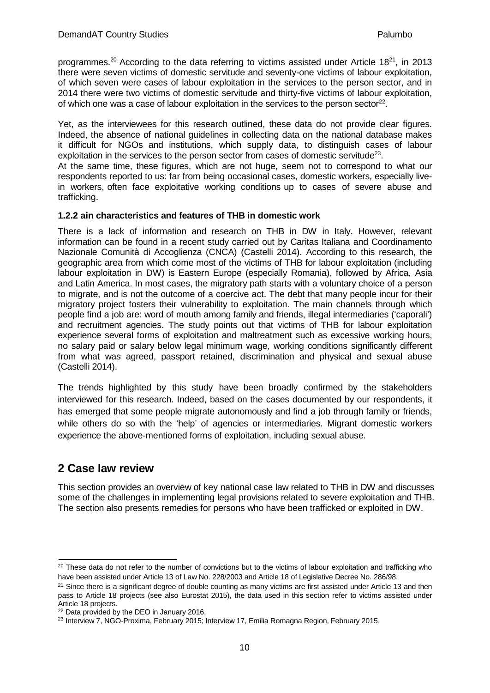programmes[.20](#page-13-2) According to the data referring to victims assisted under Article 1[821,](#page-13-3) in 2013 there were seven victims of domestic servitude and seventy-one victims of labour exploitation, of which seven were cases of labour exploitation in the services to the person sector, and in 2014 there were two victims of domestic servitude and thirty-five victims of labour exploitation, of which one was a case of labour exploitation in the services to the person sector<sup>22</sup>.

Yet, as the interviewees for this research outlined, these data do not provide clear figures. Indeed, the absence of national guidelines in collecting data on the national database makes it difficult for NGOs and institutions, which supply data, to distinguish cases of labour exploitation in the services to the person sector from cases of domestic servitude<sup>23</sup>.

At the same time, these figures, which are not huge, seem not to correspond to what our respondents reported to us: far from being occasional cases, domestic workers, especially livein workers, often face exploitative working conditions up to cases of severe abuse and trafficking.

#### <span id="page-13-0"></span>**1.2.2 ain characteristics and features of THB in domestic work**

There is a lack of information and research on THB in DW in Italy. However, relevant information can be found in a recent study carried out by Caritas Italiana and Coordinamento Nazionale Comunità di Accoglienza (CNCA) (Castelli 2014). According to this research, the geographic area from which come most of the victims of THB for labour exploitation (including labour exploitation in DW) is Eastern Europe (especially Romania), followed by Africa, Asia and Latin America. In most cases, the migratory path starts with a voluntary choice of a person to migrate, and is not the outcome of a coercive act. The debt that many people incur for their migratory project fosters their vulnerability to exploitation. The main channels through which people find a job are: word of mouth among family and friends, illegal intermediaries ('caporali') and recruitment agencies. The study points out that victims of THB for labour exploitation experience several forms of exploitation and maltreatment such as excessive working hours, no salary paid or salary below legal minimum wage, working conditions significantly different from what was agreed, passport retained, discrimination and physical and sexual abuse (Castelli 2014).

The trends highlighted by this study have been broadly confirmed by the stakeholders interviewed for this research. Indeed, based on the cases documented by our respondents, it has emerged that some people migrate autonomously and find a job through family or friends, while others do so with the 'help' of agencies or intermediaries. Migrant domestic workers experience the above-mentioned forms of exploitation, including sexual abuse.

# <span id="page-13-1"></span>**2 Case law review**

This section provides an overview of key national case law related to THB in DW and discusses some of the challenges in implementing legal provisions related to severe exploitation and THB. The section also presents remedies for persons who have been trafficked or exploited in DW.

<span id="page-13-2"></span><sup>&</sup>lt;sup>20</sup> These data do not refer to the number of convictions but to the victims of labour exploitation and trafficking who have been assisted under Article 13 of Law No. 228/2003 and Article 18 of Legislative Decree No. 286/98.

<span id="page-13-3"></span> $21$  Since there is a significant degree of double counting as many victims are first assisted under Article 13 and then pass to Article 18 projects (see also Eurostat 2015), the data used in this section refer to victims assisted under Article 18 projects.

<span id="page-13-4"></span><sup>&</sup>lt;sup>22</sup> Data provided by the DEO in January 2016.

<span id="page-13-5"></span><sup>&</sup>lt;sup>23</sup> Interview 7, NGO-Proxima, February 2015; Interview 17, Emilia Romagna Region, February 2015.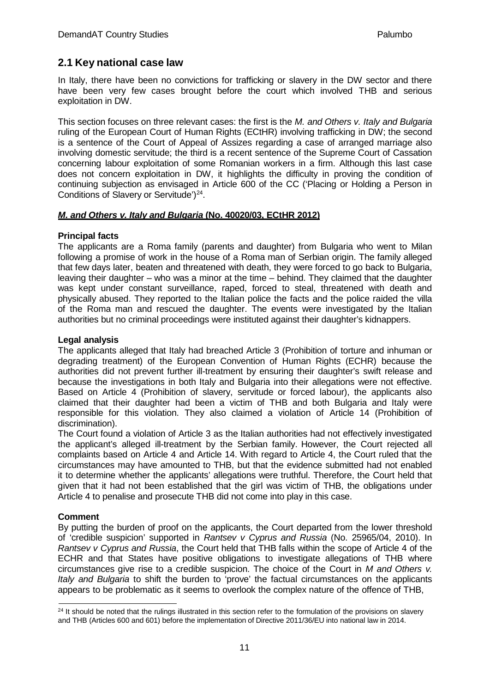# <span id="page-14-0"></span>**2.1 Key national case law**

In Italy, there have been no convictions for trafficking or slavery in the DW sector and there have been very few cases brought before the court which involved THB and serious exploitation in DW.

This section focuses on three relevant cases: the first is the *M. and Others v. Italy and Bulgaria* ruling of the European Court of Human Rights (ECtHR) involving trafficking in DW; the second is a sentence of the Court of Appeal of Assizes regarding a case of arranged marriage also involving domestic servitude; the third is a recent sentence of the Supreme Court of Cassation concerning labour exploitation of some Romanian workers in a firm. Although this last case does not concern exploitation in DW, it highlights the difficulty in proving the condition of continuing subjection as envisaged in Article 600 of the CC ('Placing or Holding a Person in Conditions of Slavery or Servitude')<sup>24</sup>.

## *M. and Others v. Italy and Bulgaria* **(No. 40020/03, ECtHR 2012)**

## **Principal facts**

The applicants are a Roma family (parents and daughter) from Bulgaria who went to Milan following a promise of work in the house of a Roma man of Serbian origin. The family alleged that few days later, beaten and threatened with death, they were forced to go back to Bulgaria, leaving their daughter – who was a minor at the time – behind. They claimed that the daughter was kept under constant surveillance, raped, forced to steal, threatened with death and physically abused. They reported to the Italian police the facts and the police raided the villa of the Roma man and rescued the daughter. The events were investigated by the Italian authorities but no criminal proceedings were instituted against their daughter's kidnappers.

## **Legal analysis**

The applicants alleged that Italy had breached Article 3 (Prohibition of torture and inhuman or degrading treatment) of the European Convention of Human Rights (ECHR) because the authorities did not prevent further ill-treatment by ensuring their daughter's swift release and because the investigations in both Italy and Bulgaria into their allegations were not effective. Based on Article 4 (Prohibition of slavery, servitude or forced labour), the applicants also claimed that their daughter had been a victim of THB and both Bulgaria and Italy were responsible for this violation. They also claimed a violation of Article 14 (Prohibition of discrimination).

The Court found a violation of Article 3 as the Italian authorities had not effectively investigated the applicant's alleged ill-treatment by the Serbian family. However, the Court rejected all complaints based on Article 4 and Article 14. With regard to Article 4, the Court ruled that the circumstances may have amounted to THB, but that the evidence submitted had not enabled it to determine whether the applicants' allegations were truthful. Therefore, the Court held that given that it had not been established that the girl was victim of THB, the obligations under Article 4 to penalise and prosecute THB did not come into play in this case.

## **Comment**

By putting the burden of proof on the applicants, the Court departed from the lower threshold of 'credible suspicion' supported in *Rantsev v Cyprus and Russia* (No. 25965/04, 2010). In *Rantsev v Cyprus and Russia*, the Court held that THB falls within the scope of Article 4 of the ECHR and that States have positive obligations to investigate allegations of THB where circumstances give rise to a credible suspicion. The choice of the Court in *M and Others v. Italy and Bulgaria* to shift the burden to 'prove' the factual circumstances on the applicants appears to be problematic as it seems to overlook the complex nature of the offence of THB,

<span id="page-14-1"></span> $24$  It should be noted that the rulings illustrated in this section refer to the formulation of the provisions on slavery and THB (Articles 600 and 601) before the implementation of Directive 2011/36/EU into national law in 2014.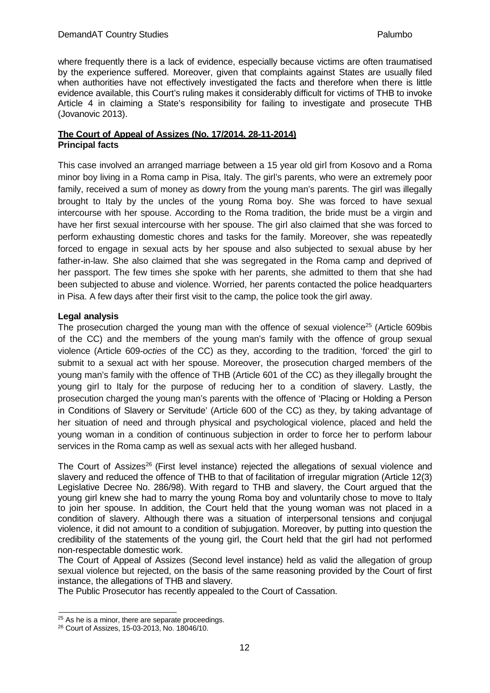where frequently there is a lack of evidence, especially because victims are often traumatised by the experience suffered. Moreover, given that complaints against States are usually filed when authorities have not effectively investigated the facts and therefore when there is little evidence available, this Court's ruling makes it considerably difficult for victims of THB to invoke Article 4 in claiming a State's responsibility for failing to investigate and prosecute THB (Jovanovic 2013).

#### **The Court of Appeal of Assizes (No. 17/2014. 28-11-2014) Principal facts**

This case involved an arranged marriage between a 15 year old girl from Kosovo and a Roma minor boy living in a Roma camp in Pisa, Italy. The girl's parents, who were an extremely poor family, received a sum of money as dowry from the young man's parents. The girl was illegally brought to Italy by the uncles of the young Roma boy. She was forced to have sexual intercourse with her spouse. According to the Roma tradition, the bride must be a virgin and have her first sexual intercourse with her spouse. The girl also claimed that she was forced to perform exhausting domestic chores and tasks for the family. Moreover, she was repeatedly forced to engage in sexual acts by her spouse and also subjected to sexual abuse by her father-in-law. She also claimed that she was segregated in the Roma camp and deprived of her passport. The few times she spoke with her parents, she admitted to them that she had been subjected to abuse and violence. Worried, her parents contacted the police headquarters in Pisa. A few days after their first visit to the camp, the police took the girl away.

## **Legal analysis**

The prosecution charged the young man with the offence of sexual violence<sup>25</sup> (Article 609bis of the CC) and the members of the young man's family with the offence of group sexual violence (Article 609-*octies* of the CC) as they, according to the tradition, 'forced' the girl to submit to a sexual act with her spouse. Moreover, the prosecution charged members of the young man's family with the offence of THB (Article 601 of the CC) as they illegally brought the young girl to Italy for the purpose of reducing her to a condition of slavery. Lastly, the prosecution charged the young man's parents with the offence of 'Placing or Holding a Person in Conditions of Slavery or Servitude' (Article 600 of the CC) as they, by taking advantage of her situation of need and through physical and psychological violence, placed and held the young woman in a condition of continuous subjection in order to force her to perform labour services in the Roma camp as well as sexual acts with her alleged husband.

The Court of Assizes<sup>26</sup> (First level instance) rejected the allegations of sexual violence and slavery and reduced the offence of THB to that of facilitation of irregular migration (Article 12(3) Legislative Decree No. 286/98). With regard to THB and slavery, the Court argued that the young girl knew she had to marry the young Roma boy and voluntarily chose to move to Italy to join her spouse. In addition, the Court held that the young woman was not placed in a condition of slavery. Although there was a situation of interpersonal tensions and conjugal violence, it did not amount to a condition of subjugation. Moreover, by putting into question the credibility of the statements of the young girl, the Court held that the girl had not performed non-respectable domestic work.

The Court of Appeal of Assizes (Second level instance) held as valid the allegation of group sexual violence but rejected, on the basis of the same reasoning provided by the Court of first instance, the allegations of THB and slavery.

The Public Prosecutor has recently appealed to the Court of Cassation.

<span id="page-15-0"></span> $25$  As he is a minor, there are separate proceedings.

<span id="page-15-1"></span><sup>26</sup> Court of Assizes, 15-03-2013, No. 18046/10.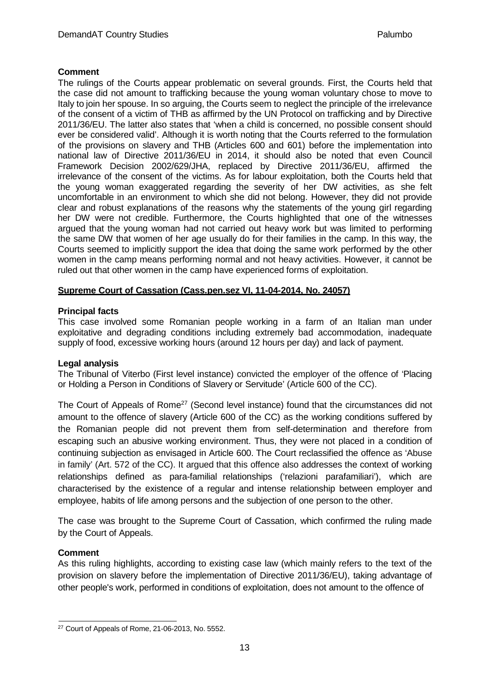#### **Comment**

The rulings of the Courts appear problematic on several grounds. First, the Courts held that the case did not amount to trafficking because the young woman voluntary chose to move to Italy to join her spouse. In so arguing, the Courts seem to neglect the principle of the irrelevance of the consent of a victim of THB as affirmed by the UN Protocol on trafficking and by Directive 2011/36/EU. The latter also states that 'when a child is concerned, no possible consent should ever be considered valid'. Although it is worth noting that the Courts referred to the formulation of the provisions on slavery and THB (Articles 600 and 601) before the implementation into national law of Directive 2011/36/EU in 2014, it should also be noted that even Council Framework Decision 2002/629/JHA, replaced by Directive 2011/36/EU, affirmed the irrelevance of the consent of the victims. As for labour exploitation, both the Courts held that the young woman exaggerated regarding the severity of her DW activities, as she felt uncomfortable in an environment to which she did not belong. However, they did not provide clear and robust explanations of the reasons why the statements of the young girl regarding her DW were not credible. Furthermore, the Courts highlighted that one of the witnesses argued that the young woman had not carried out heavy work but was limited to performing the same DW that women of her age usually do for their families in the camp. In this way, the Courts seemed to implicitly support the idea that doing the same work performed by the other women in the camp means performing normal and not heavy activities. However, it cannot be ruled out that other women in the camp have experienced forms of exploitation.

## **Supreme Court of Cassation (Cass.pen.sez VI, 11-04-2014, No. 24057)**

## **Principal facts**

This case involved some Romanian people working in a farm of an Italian man under exploitative and degrading conditions including extremely bad accommodation, inadequate supply of food, excessive working hours (around 12 hours per day) and lack of payment.

#### **Legal analysis**

The Tribunal of Viterbo (First level instance) convicted the employer of the offence of 'Placing or Holding a Person in Conditions of Slavery or Servitude' (Article 600 of the CC).

The Court of Appeals of Rome<sup>27</sup> (Second level instance) found that the circumstances did not amount to the offence of slavery (Article 600 of the CC) as the working conditions suffered by the Romanian people did not prevent them from self-determination and therefore from escaping such an abusive working environment. Thus, they were not placed in a condition of continuing subjection as envisaged in Article 600. The Court reclassified the offence as 'Abuse in family' (Art. 572 of the CC). It argued that this offence also addresses the context of working relationships defined as para-familial relationships ('relazioni parafamiliari'), which are characterised by the existence of a regular and intense relationship between employer and employee, habits of life among persons and the subjection of one person to the other.

The case was brought to the Supreme Court of Cassation, which confirmed the ruling made by the Court of Appeals.

#### **Comment**

As this ruling highlights, according to existing case law (which mainly refers to the text of the provision on slavery before the implementation of Directive 2011/36/EU), taking advantage of other people's work, performed in conditions of exploitation, does not amount to the offence of

<span id="page-16-0"></span><sup>27</sup> Court of Appeals of Rome, 21-06-2013, No. 5552.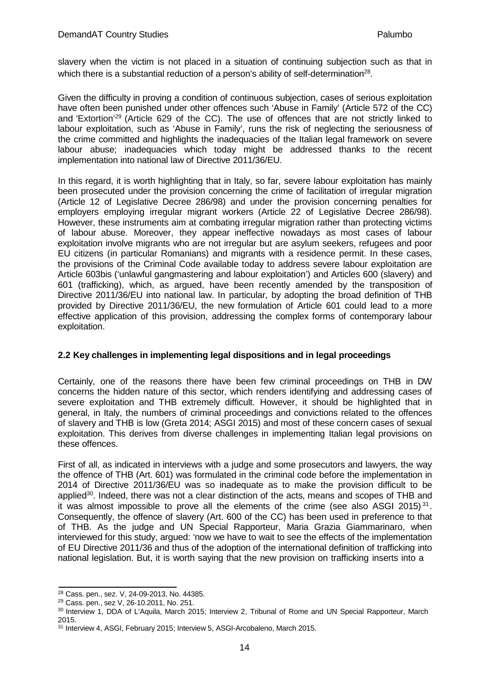slavery when the victim is not placed in a situation of continuing subjection such as that in which there is a substantial reduction of a person's ability of self-determination<sup>28</sup>.

Given the difficulty in proving a condition of continuous subjection, cases of serious exploitation have often been punished under other offences such 'Abuse in Family' (Article 572 of the CC) and 'Extortion['29](#page-17-2) (Article 629 of the CC). The use of offences that are not strictly linked to labour exploitation, such as 'Abuse in Family', runs the risk of neglecting the seriousness of the crime committed and highlights the inadequacies of the Italian legal framework on severe labour abuse; inadequacies which today might be addressed thanks to the recent implementation into national law of Directive 2011/36/EU.

In this regard, it is worth highlighting that in Italy, so far, severe labour exploitation has mainly been prosecuted under the provision concerning the crime of facilitation of irregular migration (Article 12 of Legislative Decree 286/98) and under the provision concerning penalties for employers employing irregular migrant workers (Article 22 of Legislative Decree 286/98). However, these instruments aim at combating irregular migration rather than protecting victims of labour abuse. Moreover, they appear ineffective nowadays as most cases of labour exploitation involve migrants who are not irregular but are asylum seekers, refugees and poor EU citizens (in particular Romanians) and migrants with a residence permit. In these cases, the provisions of the Criminal Code available today to address severe labour exploitation are Article 603bis ('unlawful gangmastering and labour exploitation') and Articles 600 (slavery) and 601 (trafficking), which, as argued, have been recently amended by the transposition of Directive 2011/36/EU into national law. In particular, by adopting the broad definition of THB provided by Directive 2011/36/EU, the new formulation of Article 601 could lead to a more effective application of this provision, addressing the complex forms of contemporary labour exploitation.

## <span id="page-17-0"></span>**2.2 Key challenges in implementing legal dispositions and in legal proceedings**

Certainly, one of the reasons there have been few criminal proceedings on THB in DW concerns the hidden nature of this sector, which renders identifying and addressing cases of severe exploitation and THB extremely difficult. However, it should be highlighted that in general, in Italy, the numbers of criminal proceedings and convictions related to the offences of slavery and THB is low (Greta 2014; ASGI 2015) and most of these concern cases of sexual exploitation. This derives from diverse challenges in implementing Italian legal provisions on these offences.

First of all, as indicated in interviews with a judge and some prosecutors and lawyers, the way the offence of THB (Art. 601) was formulated in the criminal code before the implementation in 2014 of Directive 2011/36/EU was so inadequate as to make the provision difficult to be applied<sup>30</sup>. Indeed, there was not a clear distinction of the acts, means and scopes of THB and it was almost impossible to prove all the elements of the crime (see also ASGI 2015)<sup>31</sup>. Consequently, the offence of slavery (Art. 600 of the CC) has been used in preference to that of THB. As the judge and UN Special Rapporteur, Maria Grazia Giammarinaro, when interviewed for this study, argued: 'now we have to wait to see the effects of the implementation of EU Directive 2011/36 and thus of the adoption of the international definition of trafficking into national legislation. But, it is worth saying that the new provision on trafficking inserts into a

<span id="page-17-1"></span><sup>28</sup> Cass. pen., sez. V, 24-09-2013, No. 44385.

<span id="page-17-2"></span><sup>29</sup> Cass. pen., sez V, 26-10.2011, No. 251.

<span id="page-17-3"></span><sup>30</sup> Interview 1, DDA of L'Aquila, March 2015; Interview 2, Tribunal of Rome and UN Special Rapporteur, March 2015.

<span id="page-17-4"></span><sup>31</sup> Interview 4, ASGI, February 2015; Interview 5, ASGI-Arcobaleno, March 2015.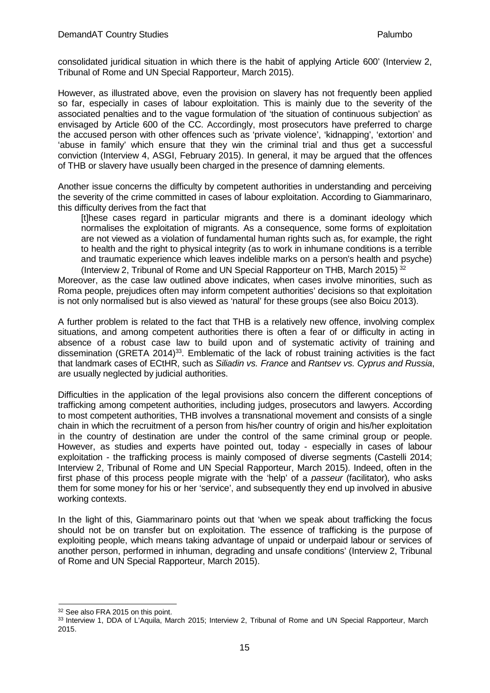consolidated juridical situation in which there is the habit of applying Article 600' (Interview 2, Tribunal of Rome and UN Special Rapporteur, March 2015).

However, as illustrated above, even the provision on slavery has not frequently been applied so far, especially in cases of labour exploitation. This is mainly due to the severity of the associated penalties and to the vague formulation of 'the situation of continuous subjection' as envisaged by Article 600 of the CC. Accordingly, most prosecutors have preferred to charge the accused person with other offences such as 'private violence', 'kidnapping', 'extortion' and 'abuse in family' which ensure that they win the criminal trial and thus get a successful conviction (Interview 4, ASGI, February 2015). In general, it may be argued that the offences of THB or slavery have usually been charged in the presence of damning elements.

Another issue concerns the difficulty by competent authorities in understanding and perceiving the severity of the crime committed in cases of labour exploitation. According to Giammarinaro, this difficulty derives from the fact that

[t]hese cases regard in particular migrants and there is a dominant ideology which normalises the exploitation of migrants. As a consequence, some forms of exploitation are not viewed as a violation of fundamental human rights such as, for example, the right to health and the right to physical integrity (as to work in inhumane conditions is a terrible and traumatic experience which leaves indelible marks on a person's health and psyche) (Interview 2, Tribunal of Rome and UN Special Rapporteur on THB, March 2015) [32](#page-18-0)

Moreover, as the case law outlined above indicates, when cases involve minorities, such as Roma people, prejudices often may inform competent authorities' decisions so that exploitation is not only normalised but is also viewed as 'natural' for these groups (see also Boicu 2013).

A further problem is related to the fact that THB is a relatively new offence, involving complex situations, and among competent authorities there is often a fear of or difficulty in acting in absence of a robust case law to build upon and of systematic activity of training and dissemination (GRETA 2014)<sup>33</sup>. Emblematic of the lack of robust training activities is the fact that landmark cases of ECtHR, such as *Siliadin vs. France* and *Rantsev vs. Cyprus and Russia*, are usually neglected by judicial authorities.

Difficulties in the application of the legal provisions also concern the different conceptions of trafficking among competent authorities, including judges, prosecutors and lawyers. According to most competent authorities, THB involves a transnational movement and consists of a single chain in which the recruitment of a person from his/her country of origin and his/her exploitation in the country of destination are under the control of the same criminal group or people. However, as studies and experts have pointed out, today - especially in cases of labour exploitation - the trafficking process is mainly composed of diverse segments (Castelli 2014; Interview 2, Tribunal of Rome and UN Special Rapporteur, March 2015). Indeed, often in the first phase of this process people migrate with the 'help' of a *passeur* (facilitator)*,* who asks them for some money for his or her 'service', and subsequently they end up involved in abusive working contexts.

In the light of this, Giammarinaro points out that 'when we speak about trafficking the focus should not be on transfer but on exploitation. The essence of trafficking is the purpose of exploiting people, which means taking advantage of unpaid or underpaid labour or services of another person, performed in inhuman, degrading and unsafe conditions' (Interview 2, Tribunal of Rome and UN Special Rapporteur, March 2015).

<span id="page-18-0"></span><sup>&</sup>lt;sup>32</sup> See also FRA 2015 on this point.

<span id="page-18-1"></span><sup>33</sup> Interview 1, DDA of L'Aquila, March 2015; Interview 2, Tribunal of Rome and UN Special Rapporteur, March 2015.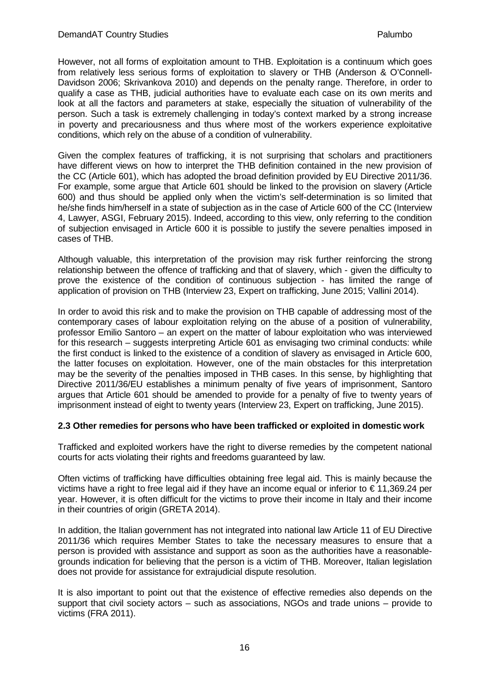However, not all forms of exploitation amount to THB. Exploitation is a continuum which goes from relatively less serious forms of exploitation to slavery or THB (Anderson & O'Connell-Davidson 2006; Skrivankova 2010) and depends on the penalty range. Therefore, in order to qualify a case as THB, judicial authorities have to evaluate each case on its own merits and look at all the factors and parameters at stake, especially the situation of vulnerability of the person. Such a task is extremely challenging in today's context marked by a strong increase in poverty and precariousness and thus where most of the workers experience exploitative conditions, which rely on the abuse of a condition of vulnerability.

Given the complex features of trafficking, it is not surprising that scholars and practitioners have different views on how to interpret the THB definition contained in the new provision of the CC (Article 601), which has adopted the broad definition provided by EU Directive 2011/36. For example, some argue that Article 601 should be linked to the provision on slavery (Article 600) and thus should be applied only when the victim's self-determination is so limited that he/she finds him/herself in a state of subjection as in the case of Article 600 of the CC (Interview 4, Lawyer, ASGI, February 2015). Indeed, according to this view, only referring to the condition of subjection envisaged in Article 600 it is possible to justify the severe penalties imposed in cases of THB.

Although valuable, this interpretation of the provision may risk further reinforcing the strong relationship between the offence of trafficking and that of slavery, which - given the difficulty to prove the existence of the condition of continuous subjection - has limited the range of application of provision on THB (Interview 23, Expert on trafficking, June 2015; Vallini 2014).

In order to avoid this risk and to make the provision on THB capable of addressing most of the contemporary cases of labour exploitation relying on the abuse of a position of vulnerability, professor Emilio Santoro – an expert on the matter of labour exploitation who was interviewed for this research – suggests interpreting Article 601 as envisaging two criminal conducts: while the first conduct is linked to the existence of a condition of slavery as envisaged in Article 600, the latter focuses on exploitation. However, one of the main obstacles for this interpretation may be the severity of the penalties imposed in THB cases. In this sense, by highlighting that Directive 2011/36/EU establishes a minimum penalty of five years of imprisonment, Santoro argues that Article 601 should be amended to provide for a penalty of five to twenty years of imprisonment instead of eight to twenty years (Interview 23, Expert on trafficking, June 2015).

#### <span id="page-19-0"></span>**2.3 Other remedies for persons who have been trafficked or exploited in domestic work**

Trafficked and exploited workers have the right to diverse remedies by the competent national courts for acts violating their rights and freedoms guaranteed by law.

Often victims of trafficking have difficulties obtaining free legal aid. This is mainly because the victims have a right to free legal aid if they have an income equal or inferior to € 11,369.24 per year. However, it is often difficult for the victims to prove their income in Italy and their income in their countries of origin (GRETA 2014).

In addition, the Italian government has not integrated into national law Article 11 of EU Directive 2011/36 which requires Member States to take the necessary measures to ensure that a person is provided with assistance and support as soon as the authorities have a reasonablegrounds indication for believing that the person is a victim of THB. Moreover, Italian legislation does not provide for assistance for extrajudicial dispute resolution.

It is also important to point out that the existence of effective remedies also depends on the support that civil society actors – such as associations, NGOs and trade unions – provide to victims (FRA 2011).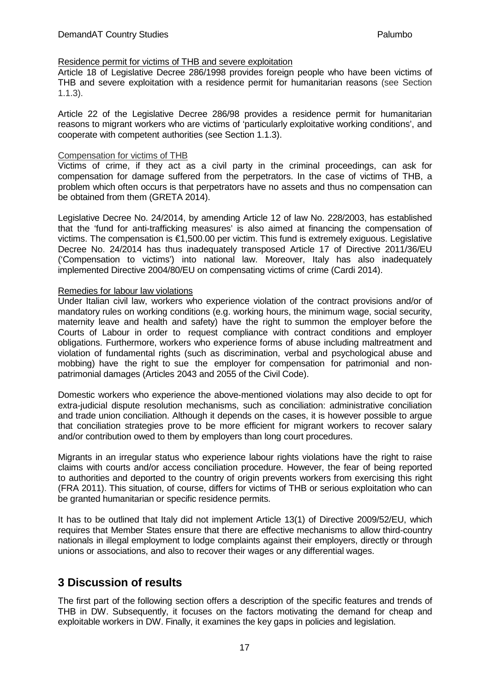#### Residence permit for victims of THB and severe exploitation

Article 18 of Legislative Decree 286/1998 provides foreign people who have been victims of THB and severe exploitation with a residence permit for humanitarian reasons (see Section 1.1.3).

Article 22 of the Legislative Decree 286/98 provides a residence permit for humanitarian reasons to migrant workers who are victims of 'particularly exploitative working conditions', and cooperate with competent authorities (see Section 1.1.3).

#### Compensation for victims of THB

Victims of crime, if they act as a civil party in the criminal proceedings, can ask for compensation for damage suffered from the perpetrators. In the case of victims of THB, a problem which often occurs is that perpetrators have no assets and thus no compensation can be obtained from them (GRETA 2014).

Legislative Decree No. 24/2014, by amending Article 12 of law No. 228/2003, has established that the 'fund for anti-trafficking measures' is also aimed at financing the compensation of victims. The compensation is €1,500.00 per victim. This fund is extremely exiguous. Legislative Decree No. 24/2014 has thus inadequately transposed Article 17 of Directive 2011/36/EU ('Compensation to victims') into national law. Moreover, Italy has also inadequately implemented Directive 2004/80/EU on compensating victims of crime (Cardi 2014).

#### Remedies for labour law violations

Under Italian civil law, workers who experience violation of the contract provisions and/or of mandatory rules on working conditions (e.g. working hours, the minimum wage, social security, maternity leave and health and safety) have the right to summon the employer before the Courts of Labour in order to request compliance with contract conditions and employer obligations. Furthermore, workers who experience forms of abuse including maltreatment and violation of fundamental rights (such as discrimination, verbal and psychological abuse and mobbing) have the right to sue the employer for compensation for patrimonial and nonpatrimonial damages (Articles 2043 and 2055 of the Civil Code).

Domestic workers who experience the above-mentioned violations may also decide to opt for extra-judicial dispute resolution mechanisms, such as conciliation: administrative conciliation and trade union conciliation. Although it depends on the cases, it is however possible to argue that conciliation strategies prove to be more efficient for migrant workers to recover salary and/or contribution owed to them by employers than long court procedures.

Migrants in an irregular status who experience labour rights violations have the right to raise claims with courts and/or access conciliation procedure. However, the fear of being reported to authorities and deported to the country of origin prevents workers from exercising this right (FRA 2011). This situation, of course, differs for victims of THB or serious exploitation who can be granted humanitarian or specific residence permits.

It has to be outlined that Italy did not implement Article 13(1) of Directive 2009/52/EU, which requires that Member States ensure that there are effective mechanisms to allow third-country nationals in illegal employment to lodge complaints against their employers, directly or through unions or associations, and also to recover their wages or any differential wages.

# <span id="page-20-0"></span>**3 Discussion of results**

The first part of the following section offers a description of the specific features and trends of THB in DW. Subsequently, it focuses on the factors motivating the demand for cheap and exploitable workers in DW. Finally, it examines the key gaps in policies and legislation.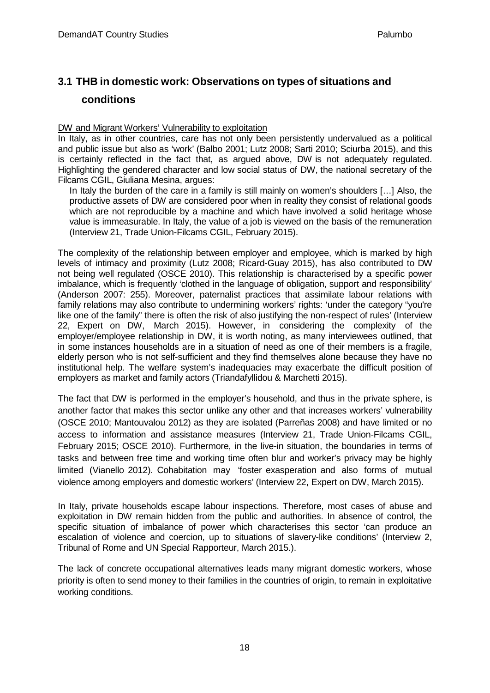# <span id="page-21-0"></span>**3.1 THB in domestic work: Observations on types of situations and conditions**

#### DW and Migrant Workers' Vulnerability to exploitation

In Italy, as in other countries, care has not only been persistently undervalued as a political and public issue but also as 'work' (Balbo 2001; Lutz 2008; Sarti 2010; Sciurba 2015), and this is certainly reflected in the fact that, as argued above, DW is not adequately regulated. Highlighting the gendered character and low social status of DW, the national secretary of the Filcams CGIL, Giuliana Mesina, argues:

In Italy the burden of the care in a family is still mainly on women's shoulders […] Also, the productive assets of DW are considered poor when in reality they consist of relational goods which are not reproducible by a machine and which have involved a solid heritage whose value is immeasurable. In Italy, the value of a job is viewed on the basis of the remuneration (Interview 21, Trade Union-Filcams CGIL, February 2015).

The complexity of the relationship between employer and employee, which is marked by high levels of intimacy and proximity (Lutz 2008; Ricard-Guay 2015), has also contributed to DW not being well regulated (OSCE 2010). This relationship is characterised by a specific power imbalance, which is frequently 'clothed in the language of obligation, support and responsibility' (Anderson 2007: 255). Moreover, paternalist practices that assimilate labour relations with family relations may also contribute to undermining workers' rights: 'under the category "you're like one of the family" there is often the risk of also justifying the non-respect of rules' (Interview 22, Expert on DW, March 2015). However, in considering the complexity of the employer/employee relationship in DW, it is worth noting, as many interviewees outlined, that in some instances households are in a situation of need as one of their members is a fragile, elderly person who is not self-sufficient and they find themselves alone because they have no institutional help. The welfare system's inadequacies may exacerbate the difficult position of employers as market and family actors (Triandafyllidou & Marchetti 2015).

The fact that DW is performed in the employer's household, and thus in the private sphere, is another factor that makes this sector unlike any other and that increases workers' vulnerability (OSCE 2010; Mantouvalou 2012) as they are isolated (Parreñas 2008) and have limited or no access to information and assistance measures (Interview 21, Trade Union-Filcams CGIL, February 2015; OSCE 2010). Furthermore, in the live-in situation, the boundaries in terms of tasks and between free time and working time often blur and worker's privacy may be highly limited (Vianello 2012). Cohabitation may 'foster exasperation and also forms of mutual violence among employers and domestic workers' (Interview 22, Expert on DW, March 2015).

In Italy, private households escape labour inspections. Therefore, most cases of abuse and exploitation in DW remain hidden from the public and authorities. In absence of control, the specific situation of imbalance of power which characterises this sector 'can produce an escalation of violence and coercion, up to situations of slavery-like conditions' (Interview 2, Tribunal of Rome and UN Special Rapporteur, March 2015.).

The lack of concrete occupational alternatives leads many migrant domestic workers, whose priority is often to send money to their families in the countries of origin, to remain in exploitative working conditions.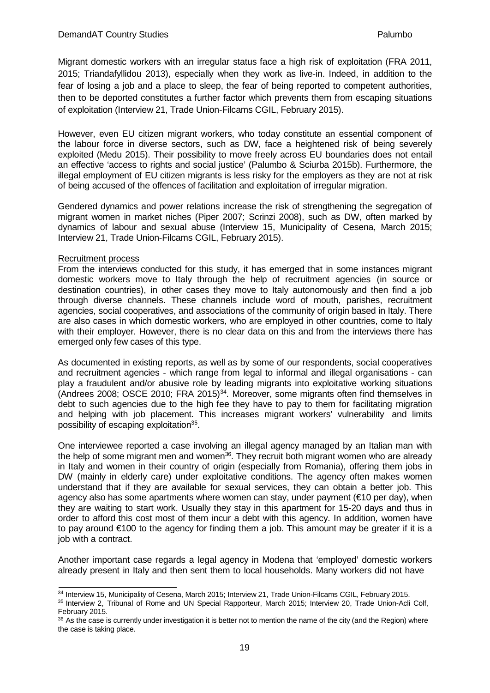Migrant domestic workers with an irregular status face a high risk of exploitation (FRA 2011, 2015; Triandafyllidou 2013), especially when they work as live-in. Indeed, in addition to the fear of losing a job and a place to sleep, the fear of being reported to competent authorities, then to be deported constitutes a further factor which prevents them from escaping situations of exploitation (Interview 21, Trade Union-Filcams CGIL, February 2015).

However, even EU citizen migrant workers, who today constitute an essential component of the labour force in diverse sectors, such as DW, face a heightened risk of being severely exploited (Medu 2015). Their possibility to move freely across EU boundaries does not entail an effective 'access to rights and social justice' (Palumbo & Sciurba 2015b). Furthermore, the illegal employment of EU citizen migrants is less risky for the employers as they are not at risk of being accused of the offences of facilitation and exploitation of irregular migration.

Gendered dynamics and power relations increase the risk of strengthening the segregation of migrant women in market niches (Piper 2007; Scrinzi 2008), such as DW, often marked by dynamics of labour and sexual abuse (Interview 15, Municipality of Cesena, March 2015; Interview 21, Trade Union-Filcams CGIL, February 2015).

#### Recruitment process

From the interviews conducted for this study, it has emerged that in some instances migrant domestic workers move to Italy through the help of recruitment agencies (in source or destination countries), in other cases they move to Italy autonomously and then find a job through diverse channels. These channels include word of mouth, parishes, recruitment agencies, social cooperatives, and associations of the community of origin based in Italy. There are also cases in which domestic workers, who are employed in other countries, come to Italy with their employer. However, there is no clear data on this and from the interviews there has emerged only few cases of this type.

As documented in existing reports, as well as by some of our respondents, social cooperatives and recruitment agencies - which range from legal to informal and illegal organisations - can play a fraudulent and/or abusive role by leading migrants into exploitative working situations (Andrees 2008; OSCE 2010; FRA 2015)<sup>34</sup>. Moreover, some migrants often find themselves in debt to such agencies due to the high fee they have to pay to them for facilitating migration and helping with job placement. This increases migrant workers' vulnerability and limits possibility of escaping exploitation<sup>35</sup>.

One interviewee reported a case involving an illegal agency managed by an Italian man with the help of some migrant men and women<sup>36</sup>. They recruit both migrant women who are already in Italy and women in their country of origin (especially from Romania), offering them jobs in DW (mainly in elderly care) under exploitative conditions. The agency often makes women understand that if they are available for sexual services, they can obtain a better job. This agency also has some apartments where women can stay, under payment ( $\epsilon$ 10 per day), when they are waiting to start work. Usually they stay in this apartment for 15-20 days and thus in order to afford this cost most of them incur a debt with this agency. In addition, women have to pay around €100 to the agency for finding them a job. This amount may be greater if it is a job with a contract.

Another important case regards a legal agency in Modena that 'employed' domestic workers already present in Italy and then sent them to local households. Many workers did not have

<span id="page-22-0"></span><sup>34</sup> Interview 15, Municipality of Cesena, March 2015; Interview 21, Trade Union-Filcams CGIL, February 2015.

<span id="page-22-1"></span><sup>35</sup> Interview 2, Tribunal of Rome and UN Special Rapporteur, March 2015; Interview 20, Trade Union-Acli Colf, February 2015.

<span id="page-22-2"></span> $36$  As the case is currently under investigation it is better not to mention the name of the city (and the Region) where the case is taking place.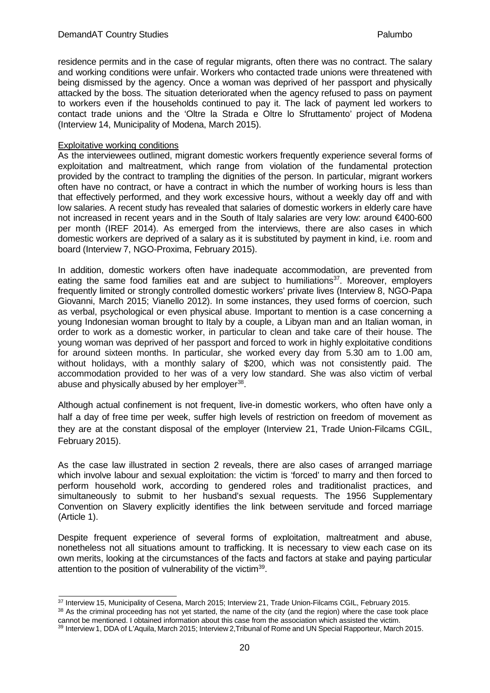residence permits and in the case of regular migrants, often there was no contract. The salary and working conditions were unfair. Workers who contacted trade unions were threatened with being dismissed by the agency. Once a woman was deprived of her passport and physically attacked by the boss. The situation deteriorated when the agency refused to pass on payment to workers even if the households continued to pay it. The lack of payment led workers to contact trade unions and the 'Oltre la Strada e Oltre lo Sfruttamento' project of Modena (Interview 14, Municipality of Modena, March 2015).

#### Exploitative working conditions

As the interviewees outlined, migrant domestic workers frequently experience several forms of exploitation and maltreatment, which range from violation of the fundamental protection provided by the contract to trampling the dignities of the person. In particular, migrant workers often have no contract, or have a contract in which the number of working hours is less than that effectively performed, and they work excessive hours, without a weekly day off and with low salaries. A recent study has revealed that salaries of domestic workers in elderly care have not increased in recent years and in the South of Italy salaries are very low: around €400-600 per month (IREF 2014). As emerged from the interviews, there are also cases in which domestic workers are deprived of a salary as it is substituted by payment in kind, i.e. room and board (Interview 7, NGO-Proxima, February 2015).

In addition, domestic workers often have inadequate accommodation, are prevented from eating the same food families eat and are subject to humiliations<sup>37</sup>. Moreover, employers frequently limited or strongly controlled domestic workers' private lives (Interview 8, NGO-Papa Giovanni, March 2015; Vianello 2012). In some instances, they used forms of coercion, such as verbal, psychological or even physical abuse. Important to mention is a case concerning a young Indonesian woman brought to Italy by a couple, a Libyan man and an Italian woman, in order to work as a domestic worker, in particular to clean and take care of their house. The young woman was deprived of her passport and forced to work in highly exploitative conditions for around sixteen months. In particular, she worked every day from 5.30 am to 1.00 am, without holidays, with a monthly salary of \$200, which was not consistently paid. The accommodation provided to her was of a very low standard. She was also victim of verbal abuse and physically abused by her employer<sup>38</sup>.

Although actual confinement is not frequent, live-in domestic workers, who often have only a half a day of free time per week, suffer high levels of restriction on freedom of movement as they are at the constant disposal of the employer (Interview 21, Trade Union-Filcams CGIL, February 2015).

As the case law illustrated in section 2 reveals, there are also cases of arranged marriage which involve labour and sexual exploitation: the victim is 'forced' to marry and then forced to perform household work, according to gendered roles and traditionalist practices, and simultaneously to submit to her husband's sexual requests. The 1956 Supplementary Convention on Slavery explicitly identifies the link between servitude and forced marriage (Article 1).

Despite frequent experience of several forms of exploitation, maltreatment and abuse, nonetheless not all situations amount to trafficking. It is necessary to view each case on its own merits, looking at the circumstances of the facts and factors at stake and paying particular attention to the position of vulnerability of the victim<sup>39</sup>.

<span id="page-23-0"></span><sup>37</sup> Interview 15, Municipality of Cesena, March 2015; Interview 21, Trade Union-Filcams CGIL, February 2015.

<span id="page-23-1"></span><sup>38</sup> As the criminal proceeding has not yet started, the name of the city (and the region) where the case took place cannot be mentioned. I obtained information about this case from the association which assisted the victim.

<span id="page-23-2"></span><sup>39</sup> Interview 1, DDA of L'Aquila, March 2015; Interview 2,Tribunal of Rome and UN Special Rapporteur, March 2015.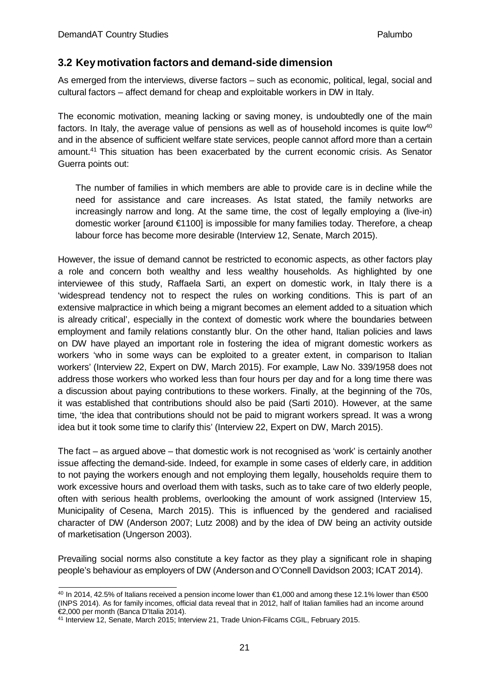# <span id="page-24-0"></span>**3.2 Keymotivation factors and demand-side dimension**

As emerged from the interviews, diverse factors – such as economic, political, legal, social and cultural factors – affect demand for cheap and exploitable workers in DW in Italy.

The economic motivation, meaning lacking or saving money, is undoubtedly one of the main factors. In Italy, the average value of pensions as well as of household incomes is quite low<sup>40</sup> and in the absence of sufficient welfare state services, people cannot afford more than a certain amount[.41](#page-24-2) This situation has been exacerbated by the current economic crisis. As Senator Guerra points out:

The number of families in which members are able to provide care is in decline while the need for assistance and care increases. As Istat stated, the family networks are increasingly narrow and long. At the same time, the cost of legally employing a (live-in) domestic worker [around €1100] is impossible for many families today. Therefore, a cheap labour force has become more desirable (Interview 12, Senate, March 2015).

However, the issue of demand cannot be restricted to economic aspects, as other factors play a role and concern both wealthy and less wealthy households. As highlighted by one interviewee of this study, Raffaela Sarti, an expert on domestic work, in Italy there is a 'widespread tendency not to respect the rules on working conditions. This is part of an extensive malpractice in which being a migrant becomes an element added to a situation which is already critical', especially in the context of domestic work where the boundaries between employment and family relations constantly blur. On the other hand, Italian policies and laws on DW have played an important role in fostering the idea of migrant domestic workers as workers 'who in some ways can be exploited to a greater extent, in comparison to Italian workers' (Interview 22, Expert on DW, March 2015). For example, Law No. 339/1958 does not address those workers who worked less than four hours per day and for a long time there was a discussion about paying contributions to these workers. Finally, at the beginning of the 70s, it was established that contributions should also be paid (Sarti 2010). However, at the same time, 'the idea that contributions should not be paid to migrant workers spread. It was a wrong idea but it took some time to clarify this' (Interview 22, Expert on DW, March 2015).

The fact – as argued above – that domestic work is not recognised as 'work' is certainly another issue affecting the demand-side. Indeed, for example in some cases of elderly care, in addition to not paying the workers enough and not employing them legally, households require them to work excessive hours and overload them with tasks, such as to take care of two elderly people, often with serious health problems, overlooking the amount of work assigned (Interview 15, Municipality of Cesena, March 2015). This is influenced by the gendered and racialised character of DW (Anderson 2007; Lutz 2008) and by the idea of DW being an activity outside of marketisation (Ungerson 2003).

Prevailing social norms also constitute a key factor as they play a significant role in shaping people's behaviour as employers of DW (Anderson and O'Connell Davidson 2003; ICAT 2014).

<span id="page-24-1"></span><sup>40</sup> In 2014, 42.5% of Italians received a pension income lower than €1,000 and among these 12.1% lower than €500 (INPS 2014). As for family incomes, official data reveal that in 2012, half of Italian families had an income around €2,000 per month (Banca D'Italia 2014).

<span id="page-24-2"></span><sup>41</sup> Interview 12, Senate, March 2015; Interview 21, Trade Union-Filcams CGIL, February 2015.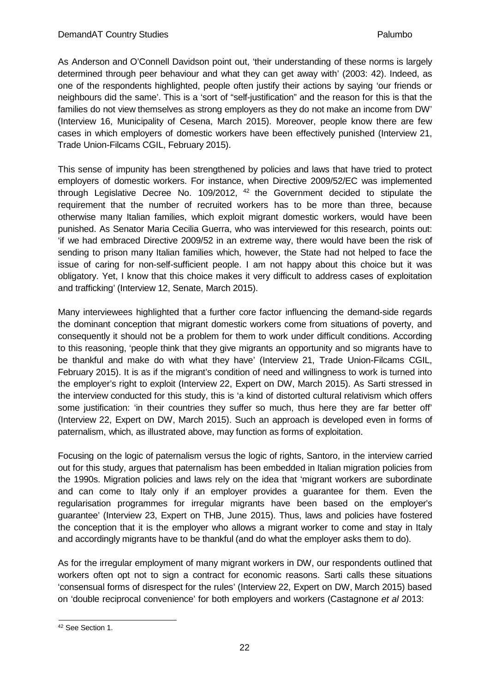As Anderson and O'Connell Davidson point out, 'their understanding of these norms is largely determined through peer behaviour and what they can get away with' (2003: 42). Indeed, as one of the respondents highlighted, people often justify their actions by saying 'our friends or neighbours did the same'. This is a 'sort of "self-justification" and the reason for this is that the families do not view themselves as strong employers as they do not make an income from DW' (Interview 16, Municipality of Cesena, March 2015). Moreover, people know there are few cases in which employers of domestic workers have been effectively punished (Interview 21, Trade Union-Filcams CGIL, February 2015).

This sense of impunity has been strengthened by policies and laws that have tried to protect employers of domestic workers. For instance, when Directive 2009/52/EC was implemented through Legislative Decree No.  $109/2012$ ,  $42$  the Government decided to stipulate the requirement that the number of recruited workers has to be more than three, because otherwise many Italian families, which exploit migrant domestic workers, would have been punished. As Senator Maria Cecilia Guerra, who was interviewed for this research, points out: 'if we had embraced Directive 2009/52 in an extreme way, there would have been the risk of sending to prison many Italian families which, however, the State had not helped to face the issue of caring for non-self-sufficient people. I am not happy about this choice but it was obligatory. Yet, I know that this choice makes it very difficult to address cases of exploitation and trafficking' (Interview 12, Senate, March 2015).

Many interviewees highlighted that a further core factor influencing the demand-side regards the dominant conception that migrant domestic workers come from situations of poverty, and consequently it should not be a problem for them to work under difficult conditions. According to this reasoning, 'people think that they give migrants an opportunity and so migrants have to be thankful and make do with what they have' (Interview 21, Trade Union-Filcams CGIL, February 2015). It is as if the migrant's condition of need and willingness to work is turned into the employer's right to exploit (Interview 22, Expert on DW, March 2015). As Sarti stressed in the interview conducted for this study, this is 'a kind of distorted cultural relativism which offers some justification: 'in their countries they suffer so much, thus here they are far better off' (Interview 22, Expert on DW, March 2015). Such an approach is developed even in forms of paternalism, which, as illustrated above, may function as forms of exploitation.

Focusing on the logic of paternalism versus the logic of rights, Santoro, in the interview carried out for this study, argues that paternalism has been embedded in Italian migration policies from the 1990s. Migration policies and laws rely on the idea that 'migrant workers are subordinate and can come to Italy only if an employer provides a guarantee for them. Even the regularisation programmes for irregular migrants have been based on the employer's guarantee' (Interview 23, Expert on THB, June 2015). Thus, laws and policies have fostered the conception that it is the employer who allows a migrant worker to come and stay in Italy and accordingly migrants have to be thankful (and do what the employer asks them to do).

As for the irregular employment of many migrant workers in DW, our respondents outlined that workers often opt not to sign a contract for economic reasons. Sarti calls these situations 'consensual forms of disrespect for the rules' (Interview 22, Expert on DW, March 2015) based on 'double reciprocal convenience' for both employers and workers (Castagnone *et al* 2013:

<span id="page-25-0"></span><sup>42</sup> See Section 1.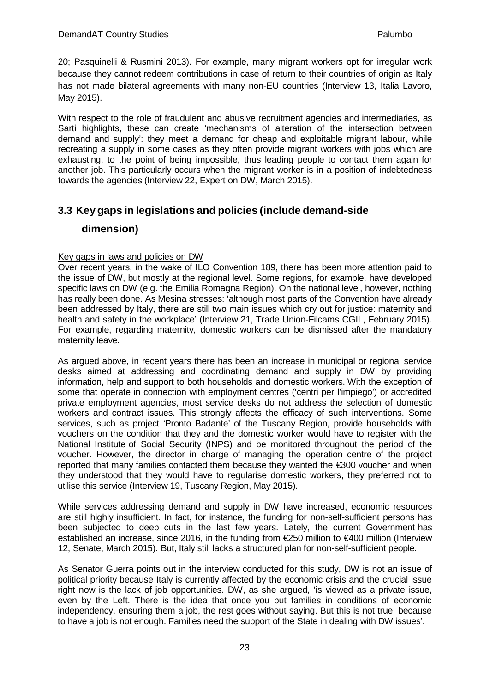20; Pasquinelli & Rusmini 2013). For example, many migrant workers opt for irregular work because they cannot redeem contributions in case of return to their countries of origin as Italy has not made bilateral agreements with many non-EU countries (Interview 13, Italia Lavoro, May 2015).

With respect to the role of fraudulent and abusive recruitment agencies and intermediaries, as Sarti highlights, these can create 'mechanisms of alteration of the intersection between demand and supply': they meet a demand for cheap and exploitable migrant labour, while recreating a supply in some cases as they often provide migrant workers with jobs which are exhausting, to the point of being impossible, thus leading people to contact them again for another job. This particularly occurs when the migrant worker is in a position of indebtedness towards the agencies (Interview 22, Expert on DW, March 2015).

# <span id="page-26-0"></span>**3.3 Key gaps in legislations and policies (include demand-side**

## **dimension)**

## Key gaps in laws and policies on DW

Over recent years, in the wake of ILO Convention 189, there has been more attention paid to the issue of DW, but mostly at the regional level. Some regions, for example, have developed specific laws on DW (e.g. the Emilia Romagna Region). On the national level, however, nothing has really been done. As Mesina stresses: 'although most parts of the Convention have already been addressed by Italy, there are still two main issues which cry out for justice: maternity and health and safety in the workplace' (Interview 21, Trade Union-Filcams CGIL, February 2015). For example, regarding maternity, domestic workers can be dismissed after the mandatory maternity leave.

As argued above, in recent years there has been an increase in municipal or regional service desks aimed at addressing and coordinating demand and supply in DW by providing information, help and support to both households and domestic workers. With the exception of some that operate in connection with employment centres ('centri per l'impiego') or accredited private employment agencies, most service desks do not address the selection of domestic workers and contract issues. This strongly affects the efficacy of such interventions. Some services, such as project 'Pronto Badante' of the Tuscany Region, provide households with vouchers on the condition that they and the domestic worker would have to register with the National Institute of Social Security (INPS) and be monitored throughout the period of the voucher. However, the director in charge of managing the operation centre of the project reported that many families contacted them because they wanted the €300 voucher and when they understood that they would have to regularise domestic workers, they preferred not to utilise this service (Interview 19, Tuscany Region, May 2015).

While services addressing demand and supply in DW have increased, economic resources are still highly insufficient. In fact, for instance, the funding for non-self-sufficient persons has been subjected to deep cuts in the last few years. Lately, the current Government has established an increase, since 2016, in the funding from €250 million to €400 million (Interview 12, Senate, March 2015). But, Italy still lacks a structured plan for non-self-sufficient people.

As Senator Guerra points out in the interview conducted for this study, DW is not an issue of political priority because Italy is currently affected by the economic crisis and the crucial issue right now is the lack of job opportunities. DW, as she argued, 'is viewed as a private issue, even by the Left. There is the idea that once you put families in conditions of economic independency, ensuring them a job, the rest goes without saying. But this is not true, because to have a job is not enough. Families need the support of the State in dealing with DW issues'.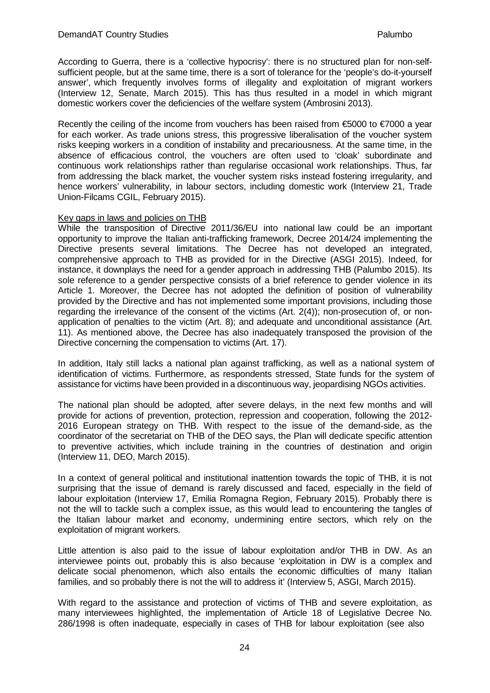According to Guerra, there is a 'collective hypocrisy': there is no structured plan for non-selfsufficient people, but at the same time, there is a sort of tolerance for the 'people's do-it-yourself answer', which frequently involves forms of illegality and exploitation of migrant workers (Interview 12, Senate, March 2015). This has thus resulted in a model in which migrant domestic workers cover the deficiencies of the welfare system (Ambrosini 2013).

Recently the ceiling of the income from vouchers has been raised from €5000 to €7000 a vear for each worker. As trade unions stress, this progressive liberalisation of the voucher system risks keeping workers in a condition of instability and precariousness. At the same time, in the absence of efficacious control, the vouchers are often used to 'cloak' subordinate and continuous work relationships rather than regularise occasional work relationships. Thus, far from addressing the black market, the voucher system risks instead fostering irregularity, and hence workers' vulnerability, in labour sectors, including domestic work (Interview 21, Trade Union-Filcams CGIL, February 2015).

#### Key gaps in laws and policies on THB

While the transposition of Directive 2011/36/EU into national law could be an important opportunity to improve the Italian anti-trafficking framework, Decree 2014/24 implementing the Directive presents several limitations. The Decree has not developed an integrated, comprehensive approach to THB as provided for in the Directive (ASGI 2015). Indeed, for instance, it downplays the need for a gender approach in addressing THB (Palumbo 2015). Its sole reference to a gender perspective consists of a brief reference to gender violence in its Article 1. Moreover, the Decree has not adopted the definition of position of vulnerability provided by the Directive and has not implemented some important provisions, including those regarding the irrelevance of the consent of the victims (Art. 2(4)); non-prosecution of, or nonapplication of penalties to the victim (Art. 8); and adequate and unconditional assistance (Art. 11). As mentioned above, the Decree has also inadequately transposed the provision of the Directive concerning the compensation to victims (Art. 17).

In addition, Italy still lacks a national plan against trafficking, as well as a national system of identification of victims. Furthermore, as respondents stressed, State funds for the system of assistance for victims have been provided in a discontinuous way, jeopardising NGOs activities.

The national plan should be adopted, after severe delays, in the next few months and will provide for actions of prevention, protection, repression and cooperation, following the 2012- 2016 European strategy on THB. With respect to the issue of the demand-side, as the coordinator of the secretariat on THB of the DEO says, the Plan will dedicate specific attention to preventive activities, which include training in the countries of destination and origin (Interview 11, DEO, March 2015).

In a context of general political and institutional inattention towards the topic of THB, it is not surprising that the issue of demand is rarely discussed and faced, especially in the field of labour exploitation (Interview 17, Emilia Romagna Region, February 2015). Probably there is not the will to tackle such a complex issue, as this would lead to encountering the tangles of the Italian labour market and economy, undermining entire sectors, which rely on the exploitation of migrant workers.

Little attention is also paid to the issue of labour exploitation and/or THB in DW. As an interviewee points out, probably this is also because 'exploitation in DW is a complex and delicate social phenomenon, which also entails the economic difficulties of many Italian families, and so probably there is not the will to address it' (Interview 5, ASGI, March 2015).

With regard to the assistance and protection of victims of THB and severe exploitation, as many interviewees highlighted, the implementation of Article 18 of Legislative Decree No. 286/1998 is often inadequate, especially in cases of THB for labour exploitation (see also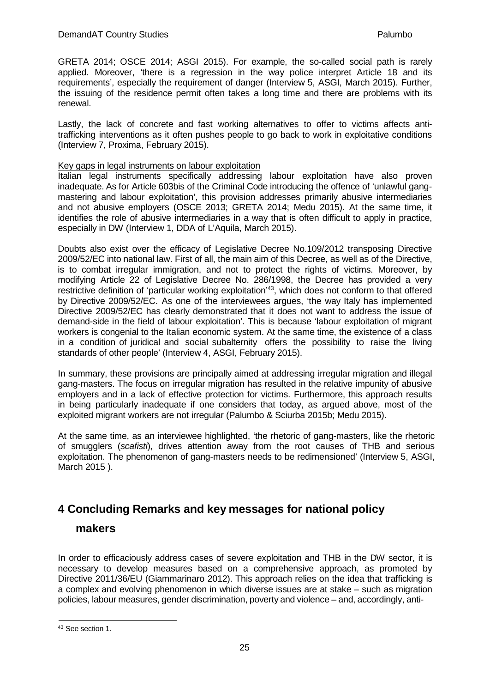GRETA 2014; OSCE 2014; ASGI 2015). For example, the so-called social path is rarely applied. Moreover, 'there is a regression in the way police interpret Article 18 and its requirements', especially the requirement of danger (Interview 5, ASGI, March 2015). Further, the issuing of the residence permit often takes a long time and there are problems with its renewal.

Lastly, the lack of concrete and fast working alternatives to offer to victims affects antitrafficking interventions as it often pushes people to go back to work in exploitative conditions (Interview 7, Proxima, February 2015).

#### Key gaps in legal instruments on labour exploitation

Italian legal instruments specifically addressing labour exploitation have also proven inadequate. As for Article 603bis of the Criminal Code introducing the offence of 'unlawful gangmastering and labour exploitation', this provision addresses primarily abusive intermediaries and not abusive employers (OSCE 2013; GRETA 2014; Medu 2015). At the same time, it identifies the role of abusive intermediaries in a way that is often difficult to apply in practice, especially in DW (Interview 1, DDA of L'Aquila, March 2015).

Doubts also exist over the efficacy of Legislative Decree No.109/2012 transposing Directive 2009/52/EC into national law. First of all, the main aim of this Decree, as well as of the Directive, is to combat irregular immigration, and not to protect the rights of victims. Moreover, by modifying Article 22 of Legislative Decree No. 286/1998, the Decree has provided a very restrictive definition of 'particular working exploitation['43,](#page-28-1) which does not conform to that offered by Directive 2009/52/EC. As one of the interviewees argues, 'the way Italy has implemented Directive 2009/52/EC has clearly demonstrated that it does not want to address the issue of demand-side in the field of labour exploitation'. This is because 'labour exploitation of migrant workers is congenial to the Italian economic system. At the same time, the existence of a class in a condition of juridical and social subalternity offers the possibility to raise the living standards of other people' (Interview 4, ASGI, February 2015).

In summary, these provisions are principally aimed at addressing irregular migration and illegal gang-masters. The focus on irregular migration has resulted in the relative impunity of abusive employers and in a lack of effective protection for victims. Furthermore, this approach results in being particularly inadequate if one considers that today, as argued above, most of the exploited migrant workers are not irregular (Palumbo & Sciurba 2015b; Medu 2015).

At the same time, as an interviewee highlighted, 'the rhetoric of gang-masters, like the rhetoric of smugglers (*scafisti*), drives attention away from the root causes of THB and serious exploitation. The phenomenon of gang-masters needs to be redimensioned' (Interview 5, ASGI, March 2015 ).

# <span id="page-28-0"></span>**4 Concluding Remarks and key messages for national policy**

# **makers**

In order to efficaciously address cases of severe exploitation and THB in the DW sector, it is necessary to develop measures based on a comprehensive approach, as promoted by Directive 2011/36/EU (Giammarinaro 2012). This approach relies on the idea that trafficking is a complex and evolving phenomenon in which diverse issues are at stake – such as migration policies, labour measures, gender discrimination, poverty and violence – and, accordingly, anti-

<span id="page-28-1"></span><sup>43</sup> See section 1.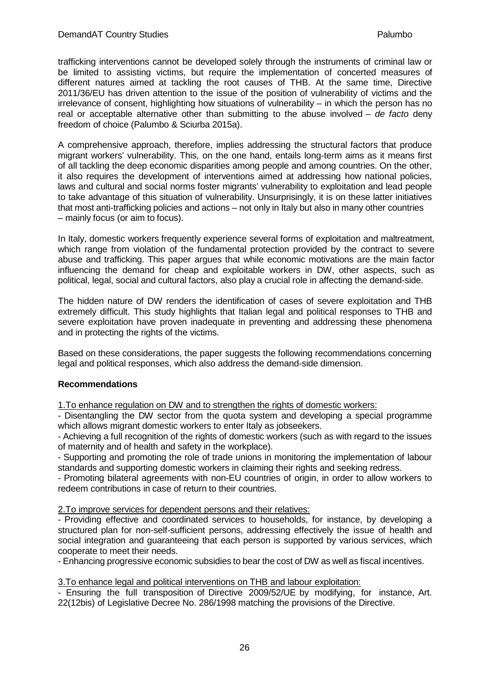trafficking interventions cannot be developed solely through the instruments of criminal law or be limited to assisting victims, but require the implementation of concerted measures of different natures aimed at tackling the root causes of THB. At the same time, Directive 2011/36/EU has driven attention to the issue of the position of vulnerability of victims and the irrelevance of consent, highlighting how situations of vulnerability – in which the person has no real or acceptable alternative other than submitting to the abuse involved – *de facto* deny freedom of choice (Palumbo & Sciurba 2015a).

A comprehensive approach, therefore, implies addressing the structural factors that produce migrant workers' vulnerability. This, on the one hand, entails long-term aims as it means first of all tackling the deep economic disparities among people and among countries. On the other, it also requires the development of interventions aimed at addressing how national policies, laws and cultural and social norms foster migrants' vulnerability to exploitation and lead people to take advantage of this situation of vulnerability. Unsurprisingly, it is on these latter initiatives that most anti-trafficking policies and actions – not only in Italy but also in many other countries – mainly focus (or aim to focus).

In Italy, domestic workers frequently experience several forms of exploitation and maltreatment, which range from violation of the fundamental protection provided by the contract to severe abuse and trafficking. This paper argues that while economic motivations are the main factor influencing the demand for cheap and exploitable workers in DW, other aspects, such as political, legal, social and cultural factors, also play a crucial role in affecting the demand-side.

The hidden nature of DW renders the identification of cases of severe exploitation and THB extremely difficult. This study highlights that Italian legal and political responses to THB and severe exploitation have proven inadequate in preventing and addressing these phenomena and in protecting the rights of the victims.

Based on these considerations, the paper suggests the following recommendations concerning legal and political responses, which also address the demand-side dimension.

#### **Recommendations**

1.To enhance regulation on DW and to strengthen the rights of domestic workers:

- Disentangling the DW sector from the quota system and developing a special programme which allows migrant domestic workers to enter Italy as jobseekers.

- Achieving a full recognition of the rights of domestic workers (such as with regard to the issues of maternity and of health and safety in the workplace).

- Supporting and promoting the role of trade unions in monitoring the implementation of labour standards and supporting domestic workers in claiming their rights and seeking redress.

- Promoting bilateral agreements with non-EU countries of origin, in order to allow workers to redeem contributions in case of return to their countries.

2.To improve services for dependent persons and their relatives:

- Providing effective and coordinated services to households, for instance, by developing a structured plan for non-self-sufficient persons, addressing effectively the issue of health and social integration and guaranteeing that each person is supported by various services, which cooperate to meet their needs.

- Enhancing progressive economic subsidies to bear the cost of DW as well as fiscal incentives.

## 3.To enhance legal and political interventions on THB and labour exploitation:

- Ensuring the full transposition of Directive 2009/52/UE by modifying, for instance, Art. 22(12bis) of Legislative Decree No. 286/1998 matching the provisions of the Directive.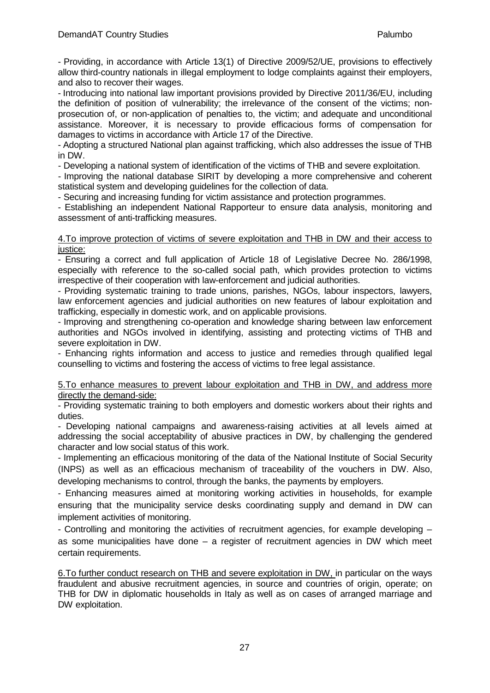- Providing, in accordance with Article 13(1) of Directive 2009/52/UE, provisions to effectively allow third-country nationals in illegal employment to lodge complaints against their employers, and also to recover their wages.

- Introducing into national law important provisions provided by Directive 2011/36/EU, including the definition of position of vulnerability; the irrelevance of the consent of the victims; nonprosecution of, or non-application of penalties to, the victim; and adequate and unconditional assistance. Moreover, it is necessary to provide efficacious forms of compensation for damages to victims in accordance with Article 17 of the Directive.

- Adopting a structured National plan against trafficking, which also addresses the issue of THB in DW.

- Developing a national system of identification of the victims of THB and severe exploitation.

- Improving the national database SIRIT by developing a more comprehensive and coherent statistical system and developing guidelines for the collection of data.

- Securing and increasing funding for victim assistance and protection programmes.

- Establishing an independent National Rapporteur to ensure data analysis, monitoring and assessment of anti-trafficking measures.

#### 4.To improve protection of victims of severe exploitation and THB in DW and their access to justice:

- Ensuring a correct and full application of Article 18 of Legislative Decree No. 286/1998, especially with reference to the so-called social path, which provides protection to victims irrespective of their cooperation with law-enforcement and judicial authorities.

- Providing systematic training to trade unions, parishes, NGOs, labour inspectors, lawyers, law enforcement agencies and judicial authorities on new features of labour exploitation and trafficking, especially in domestic work, and on applicable provisions.

- Improving and strengthening co-operation and knowledge sharing between law enforcement authorities and NGOs involved in identifying, assisting and protecting victims of THB and severe exploitation in DW.

- Enhancing rights information and access to justice and remedies through qualified legal counselling to victims and fostering the access of victims to free legal assistance.

5.To enhance measures to prevent labour exploitation and THB in DW, and address more directly the demand-side:

- Providing systematic training to both employers and domestic workers about their rights and duties.

- Developing national campaigns and awareness-raising activities at all levels aimed at addressing the social acceptability of abusive practices in DW, by challenging the gendered character and low social status of this work.

- Implementing an efficacious monitoring of the data of the National Institute of Social Security (INPS) as well as an efficacious mechanism of traceability of the vouchers in DW. Also, developing mechanisms to control, through the banks, the payments by employers.

- Enhancing measures aimed at monitoring working activities in households, for example ensuring that the municipality service desks coordinating supply and demand in DW can implement activities of monitoring.

- Controlling and monitoring the activities of recruitment agencies, for example developing – as some municipalities have done – a register of recruitment agencies in DW which meet certain requirements.

6.To further conduct research on THB and severe exploitation in DW, in particular on the ways fraudulent and abusive recruitment agencies, in source and countries of origin, operate; on THB for DW in diplomatic households in Italy as well as on cases of arranged marriage and DW exploitation.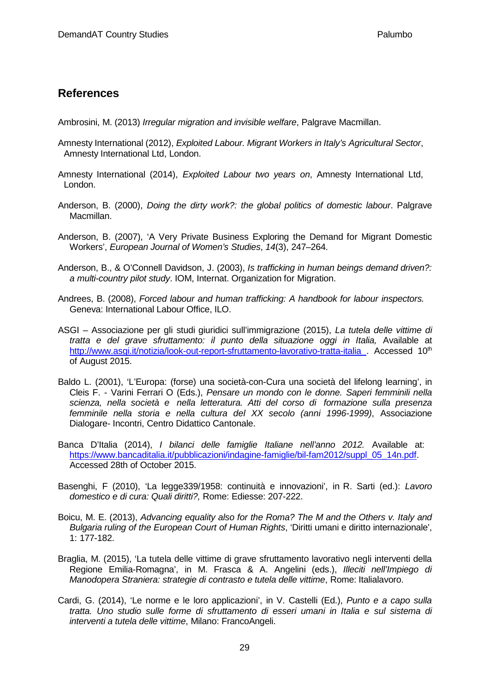# <span id="page-32-0"></span>**References**

Ambrosini, M. (2013) *Irregular migration and invisible welfare*, Palgrave Macmillan.

- Amnesty International (2012), *Exploited Labour. Migrant Workers in Italy's Agricultural Sector*, Amnesty International Ltd, London.
- Amnesty International (2014), *Exploited Labour two years on*, Amnesty International Ltd, London.
- Anderson, B. (2000), *Doing the dirty work?: the global politics of domestic labour*. Palgrave Macmillan.
- Anderson, B. (2007), 'A Very Private Business Exploring the Demand for Migrant Domestic Workers', *European Journal of Women's Studies*, *14*(3), 247–264.
- Anderson, B., & O'Connell Davidson, J. (2003), *Is trafficking in human beings demand driven?: a multi-country pilot study*. IOM, Internat. Organization for Migration.
- Andrees, B. (2008), *Forced labour and human trafficking: A handbook for labour inspectors.* Geneva: International Labour Office, ILO.
- ASGI Associazione per gli studi giuridici sull'immigrazione (2015), *La tutela delle vittime di tratta e del grave sfruttamento: il punto della situazione oggi in Italia,* Available at <http://www.asgi.it/notizia/look-out-report-sfruttamento-lavorativo-tratta-italia> . Accessed 10<sup>th</sup> of August 2015.
- Baldo L. (2001), 'L'Europa: (forse) una società-con-Cura una società del lifelong learning', in Cleis F. - Varini Ferrari O (Eds.), *Pensare un mondo con le donne. Saperi femminili nella scienza, nella società e nella letteratura. Atti del corso di formazione sulla presenza femminile nella storia e nella cultura del XX secolo (anni 1996-1999)*, Associazione Dialogare- Incontri, Centro Didattico Cantonale.
- Banca D'Italia (2014), *I bilanci delle famiglie Italiane nell'anno 2012.* Available at: [https://www.bancaditalia.it/pubblicazioni/indagine-famiglie/bil-fam2012/suppl\\_05\\_14n.pdf.](https://www.bancaditalia.it/pubblicazioni/indagine-famiglie/bil-fam2012/suppl_05_14n.pdf) Accessed 28th of October 2015.
- Basenghi, F (2010), 'La legge339/1958: continuità e innovazioni', in R. Sarti (ed.): *Lavoro domestico e di cura: Quali diritti?,* Rome: Ediesse: 207-222.
- Boicu, M. E. (2013), *Advancing equality also for the Roma? The M and the Others v. Italy and Bulgaria ruling of the European Court of Human Rights*, 'Diritti umani e diritto internazionale', 1: 177-182.
- Braglia, M. (2015), 'La tutela delle vittime di grave sfruttamento lavorativo negli interventi della Regione Emilia-Romagna', in M. Frasca & A. Angelini (eds.), *Illeciti nell'Impiego di Manodopera Straniera: strategie di contrasto e tutela delle vittime*, Rome: Italialavoro.
- Cardi, G. (2014), 'Le norme e le loro applicazioni', in V. Castelli (Ed.), *Punto e a capo sulla tratta. Uno studio sulle forme di sfruttamento di esseri umani in Italia e sul sistema di interventi a tutela delle vittime*, Milano: FrancoAngeli.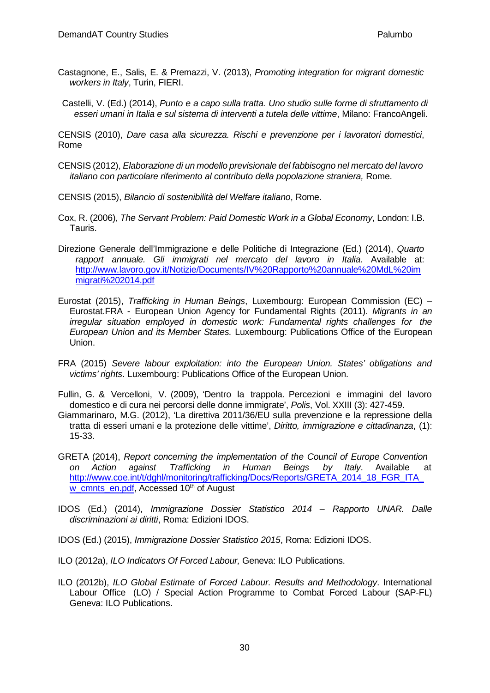- Castagnone, E., Salis, E. & Premazzi, V. (2013), *Promoting integration for migrant domestic workers in Italy*, Turin, FIERI.
- Castelli, V. (Ed.) (2014), *Punto e a capo sulla tratta. Uno studio sulle forme di sfruttamento di esseri umani in Italia e sul sistema di interventi a tutela delle vittime*, Milano: FrancoAngeli.

CENSIS (2010), *Dare casa alla sicurezza. Rischi e prevenzione per i lavoratori domestici*, Rome

- CENSIS (2012), *Elaborazione di un modello previsionale del fabbisogno nel mercato del lavoro italiano con particolare riferimento al contributo della popolazione straniera,* Rome.
- CENSIS (2015), *Bilancio di sostenibilità del Welfare italiano*, Rome.
- Cox, R. (2006), *The Servant Problem: Paid Domestic Work in a Global Economy*, London: I.B. Tauris.
- Direzione Generale dell'Immigrazione e delle Politiche di Integrazione (Ed.) (2014), *Quarto rapport annuale. Gli immigrati nel mercato del lavoro in Italia*. Available a[t:](http://www.lavoro.gov.it/Notizie/Documents/IV%20Rapporto%20annuale%20MdL%20immigrati%202014.pdf)  [http://www.lavoro.gov.it/Notizie/Documents/IV%20Rapporto%20annuale%20MdL%20im](http://www.lavoro.gov.it/Notizie/Documents/IV%20Rapporto%20annuale%20MdL%20immigrati%202014.pdf) [migrati%202014.pdf](http://www.lavoro.gov.it/Notizie/Documents/IV%20Rapporto%20annuale%20MdL%20immigrati%202014.pdf)
- Eurostat (2015), *Trafficking in Human Beings*, Luxembourg: European Commission (EC) Eurostat.FRA - European Union Agency for Fundamental Rights (2011). *Migrants in an irregular situation employed in domestic work: Fundamental rights challenges for the European Union and its Member States.* Luxembourg: Publications Office of the European Union.
- FRA (2015) *Severe labour exploitation: into the European Union. States' obligations and victims' rights*. Luxembourg: Publications Office of the European Union.
- Fullin, G. & Vercelloni, V. (2009), 'Dentro la trappola. Percezioni e immagini del lavoro domestico e di cura nei percorsi delle donne immigrate', *Polis*, Vol. XXIII (3): 427-459.
- Giammarinaro, M.G. (2012), 'La direttiva 2011/36/EU sulla prevenzione e la repressione della tratta di esseri umani e la protezione delle vittime', *Diritto, immigrazione e cittadinanza*, (1): 15-33.
- GRETA (2014), *Report concerning the implementation of the Council of Europe Convention on Action against Trafficking in Human Beings by Italy*. Available [at](http://www.coe.int/t/dghl/monitoring/trafficking/Docs/Reports/GRETA_2014_18_FGR_ITA_w_cmnts_en.pdf)  http://www.coe.int/t/dghl/monitoring/trafficking/Docs/Reports/GRETA\_2014\_18\_FGR\_ITA [w\\_cmnts\\_en.pdf,](http://www.coe.int/t/dghl/monitoring/trafficking/Docs/Reports/GRETA_2014_18_FGR_ITA_w_cmnts_en.pdf) Accessed 10<sup>th</sup> of August
- IDOS (Ed.) (2014), *Immigrazione Dossier Statistico 2014 – Rapporto UNAR. Dalle discriminazioni ai diritti*, Roma: Edizioni IDOS.
- IDOS (Ed.) (2015), *Immigrazione Dossier Statistico 2015*, Roma: Edizioni IDOS.
- ILO (2012a), *ILO Indicators Of Forced Labour,* Geneva: ILO Publications.
- ILO (2012b), *ILO Global Estimate of Forced Labour. Results and Methodology*. International Labour Office (LO) / Special Action Programme to Combat Forced Labour (SAP-FL) Geneva: ILO Publications.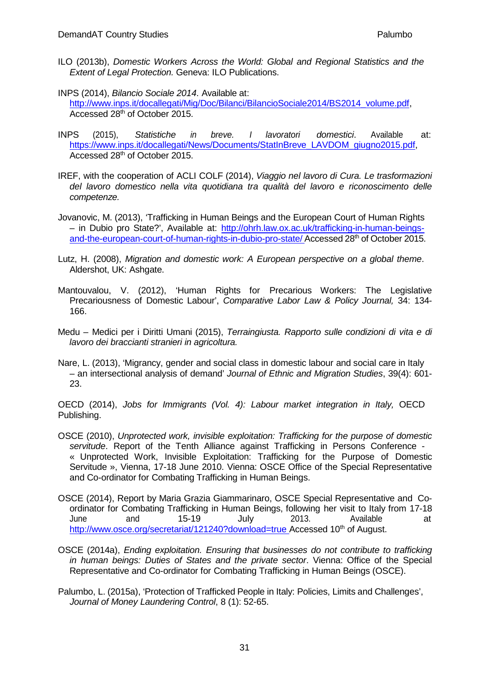ILO (2013b), *Domestic Workers Across the World: Global and Regional Statistics and the Extent of Legal Protection.* Geneva: ILO Publications.

INPS (2014), *Bilancio Sociale 2014*. Available at:

[http://www.inps.it/docallegati/Mig/Doc/Bilanci/BilancioSociale2014/BS2014\\_volume.pdf,](http://www.inps.it/docallegati/Mig/Doc/Bilanci/BilancioSociale2014/BS2014_volume.pdf) Accessed 28th of October 2015.

- INPS (2015), *Statistiche in breve. I lavoratori domestici*. Available at: [https://www.inps.it/docallegati/News/Documents/StatInBreve\\_LAVDOM\\_giugno2015.pdf,](https://www.inps.it/docallegati/News/Documents/StatInBreve_LAVDOM_giugno2015.pdf) Accessed 28th of October 2015.
- IREF, with the cooperation of ACLI COLF (2014), *Viaggio nel lavoro di Cura. Le trasformazioni del lavoro domestico nella vita quotidiana tra qualità del lavoro e riconoscimento delle competenze.*

Jovanovic, M. (2013), 'Trafficking in Human Beings and the European Court of Human Rights – in Dubio pro State?', Available at: [http://ohrh.law.ox.ac.uk/trafficking-in-human-beings](http://ohrh.law.ox.ac.uk/trafficking-in-human-beings-and-the-european-court-of-human-rights-in-dubio-pro-state/)[and-the-european-court-of-human-rights-in-dubio-pro-state/](http://ohrh.law.ox.ac.uk/trafficking-in-human-beings-and-the-european-court-of-human-rights-in-dubio-pro-state/) Accessed 28<sup>th</sup> of October 2015.

- Lutz, H. (2008), *Migration and domestic work: A European perspective on a global theme*. Aldershot, UK: Ashgate.
- Mantouvalou, V. (2012), 'Human Rights for Precarious Workers: The Legislative Precariousness of Domestic Labour', *Comparative Labor Law & Policy Journal,* 34: 134- 166.
- Medu Medici per i Diritti Umani (2015), *Terraingiusta. Rapporto sulle condizioni di vita e di lavoro dei braccianti stranieri in agricoltura.*
- Nare, L. (2013), 'Migrancy, gender and social class in domestic labour and social care in Italy – an intersectional analysis of demand' *Journal of Ethnic and Migration Studies*, 39(4): 601- 23.

OECD (2014), *Jobs for Immigrants (Vol. 4): Labour market integration in Italy,* OECD Publishing.

- OSCE (2010), *Unprotected work, invisible exploitation: Trafficking for the purpose of domestic servitude*. Report of the Tenth Alliance against Trafficking in Persons Conference - « Unprotected Work, Invisible Exploitation: Trafficking for the Purpose of Domestic Servitude », Vienna, 17-18 June 2010. Vienna: OSCE Office of the Special Representative and Co-ordinator for Combating Trafficking in Human Beings.
- OSCE (2014), Report by Maria Grazia Giammarinaro, OSCE Special Representative and Coordinator for Combating Trafficking in Human Beings, following her visit to Italy from 17-18 June and 15-19 July 2013. Available at <http://www.osce.org/secretariat/121240?download=true> Accessed 10<sup>th</sup> of August.
- OSCE (2014a), *Ending exploitation. Ensuring that businesses do not contribute to trafficking in human beings: Duties of States and the private sector*. Vienna: Office of the Special Representative and Co-ordinator for Combating Trafficking in Human Beings (OSCE).
- Palumbo, L. (2015a), 'Protection of Trafficked People in Italy: Policies, Limits and Challenges', *Journal of Money Laundering Control*, 8 (1): 52-65.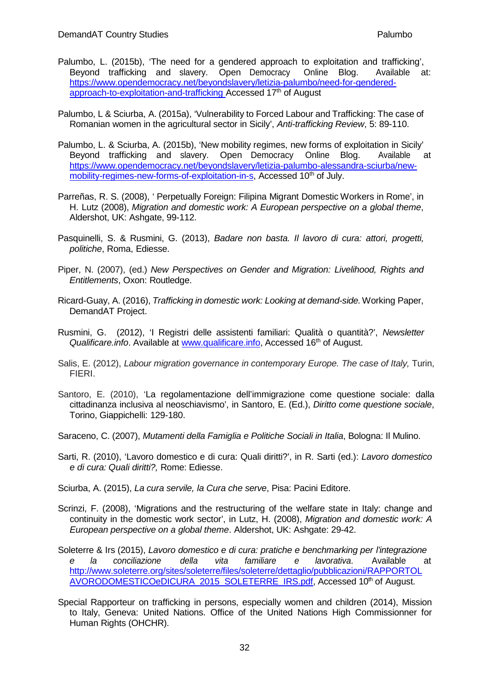- Palumbo, L. (2015b), 'The need for a gendered approach to exploitation and trafficking', Beyond trafficking and slavery. Open Democracy Online Blog. Available [at:](https://www.opendemocracy.net/beyondslavery/letizia-palumbo/need-for-gendered-approach-to-exploitation-and-trafficking)  [https://www.opendemocracy.net/beyondslavery/letizia-palumbo/need-for-gendered](https://www.opendemocracy.net/beyondslavery/letizia-palumbo/need-for-gendered-approach-to-exploitation-and-trafficking)[approach-to-exploitation-and-trafficking](https://www.opendemocracy.net/beyondslavery/letizia-palumbo/need-for-gendered-approach-to-exploitation-and-trafficking) Accessed 17<sup>th</sup> of August
- Palumbo, L & Sciurba, A. (2015a), 'Vulnerability to Forced Labour and Trafficking: The case of Romanian women in the agricultural sector in Sicily', *Anti-trafficking Review*, 5: 89-110.
- Palumbo, L. & Sciurba, A. (2015b), 'New mobility regimes, new forms of exploitation in Sicily' Beyond trafficking and slavery. Open Democracy Online Blog. Available [at](https://www.opendemocracy.net/beyondslavery/letizia-palumbo-alessandra-sciurba/new-mobility-regimes-new-forms-of-exploitation-in-s) [https://www.opendemocracy.net/beyondslavery/letizia-palumbo-alessandra-sciurba/new](https://www.opendemocracy.net/beyondslavery/letizia-palumbo-alessandra-sciurba/new-mobility-regimes-new-forms-of-exploitation-in-s)[mobility-regimes-new-forms-of-exploitation-in-s,](https://www.opendemocracy.net/beyondslavery/letizia-palumbo-alessandra-sciurba/new-mobility-regimes-new-forms-of-exploitation-in-s) Accessed 10<sup>th</sup> of July.
- Parreñas, R. S. (2008), ' Perpetually Foreign: Filipina Migrant Domestic Workers in Rome', in H. Lutz (2008), *Migration and domestic work: A European perspective on a global theme*, Aldershot, UK: Ashgate, 99-112.
- Pasquinelli, S. & Rusmini, G. (2013), *Badare non basta. Il lavoro di cura: attori, progetti, politiche*, Roma, Ediesse.
- Piper, N. (2007), (ed.) *New Perspectives on Gender and Migration: Livelihood, Rights and Entitlements*, Oxon: Routledge.
- Ricard-Guay, A. (2016), *Trafficking in domestic work: Looking at demand-side.*Working Paper, DemandAT Project.
- Rusmini, G. (2012), 'I Registri delle assistenti familiari: Qualità o quantità?', *Newsletter* Qualificare.info. Available at [www.qualificare.info,](http://www.qualificare.info/) Accessed 16<sup>th</sup> of August.
- Salis, E. (2012), *Labour migration governance in contemporary Europe. The case of Italy,* Turin, FIERI.
- Santoro, E. (2010), 'La regolamentazione dell'immigrazione come questione sociale: dalla cittadinanza inclusiva al neoschiavismo', in Santoro, E. (Ed.), *Diritto come questione sociale*, Torino, Giappichelli: 129-180.
- Saraceno, C. (2007), *Mutamenti della Famiglia e Politiche Sociali in Italia*, Bologna: Il Mulino.
- Sarti, R. (2010), 'Lavoro domestico e di cura: Quali diritti?', in R. Sarti (ed.): *Lavoro domestico e di cura: Quali diritti?,* Rome: Ediesse.
- Sciurba, A. (2015), *La cura servile, la Cura che serve*, Pisa: Pacini Editore.
- Scrinzi, F. (2008), 'Migrations and the restructuring of the welfare state in Italy: change and continuity in the domestic work sector', in Lutz, H. (2008), *Migration and domestic work: A European perspective on a global theme*. Aldershot, UK: Ashgate: 29-42.
- Soleterre & Irs (2015), *Lavoro domestico e di cura: pratiche e benchmarking per l'integrazione e la conciliazione della vita familiare e lavorativa*. Available [at](http://www.soleterre.org/sites/soleterre/files/soleterre/dettaglio/pubblicazioni/RAPPORTOLAVORODOMESTICOeDICURA_2015_SOLETERRE_IRS.pdf)  [http://www.soleterre.org/sites/soleterre/files/soleterre/dettaglio/pubblicazioni/RAPPORTOL](http://www.soleterre.org/sites/soleterre/files/soleterre/dettaglio/pubblicazioni/RAPPORTOLAVORODOMESTICOeDICURA_2015_SOLETERRE_IRS.pdf) [AVORODOMESTICOeDICURA\\_2015\\_SOLETERRE\\_IRS.pdf,](http://www.soleterre.org/sites/soleterre/files/soleterre/dettaglio/pubblicazioni/RAPPORTOLAVORODOMESTICOeDICURA_2015_SOLETERRE_IRS.pdf) Accessed 10<sup>th</sup> of August.
- Special Rapporteur on trafficking in persons, especially women and children (2014), Mission to Italy, Geneva: United Nations. Office of the United Nations High Commissionner for Human Rights (OHCHR).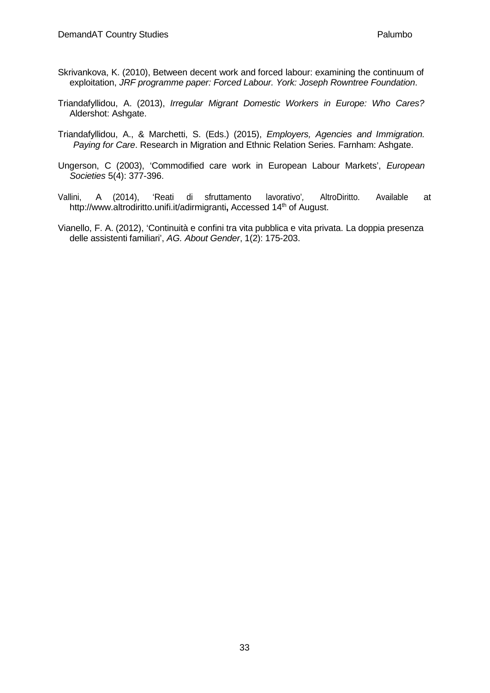- Skrivankova, K. (2010), Between decent work and forced labour: examining the continuum of exploitation, *JRF programme paper: Forced Labour. York: Joseph Rowntree Foundation*.
- Triandafyllidou, A. (2013), *Irregular Migrant Domestic Workers in Europe: Who Cares?* Aldershot: Ashgate.
- Triandafyllidou, A., & Marchetti, S. (Eds.) (2015), *Employers, Agencies and Immigration. Paying for Care*. Research in Migration and Ethnic Relation Series. Farnham: Ashgate.
- Ungerson, C (2003), 'Commodified care work in European Labour Markets', *European Societies* 5(4): 377-396.
- Vallini, A (2014), 'Reati di sfruttamento lavorativo'*,* AltroDiritto. Available at <http://www.altrodiritto.unifi.it/adirmigranti>, Accessed 14<sup>th</sup> of August.
- Vianello, F. A. (2012), 'Continuità e confini tra vita pubblica e vita privata. La doppia presenza delle assistenti familiari', *AG. About Gender*, 1(2): 175-203.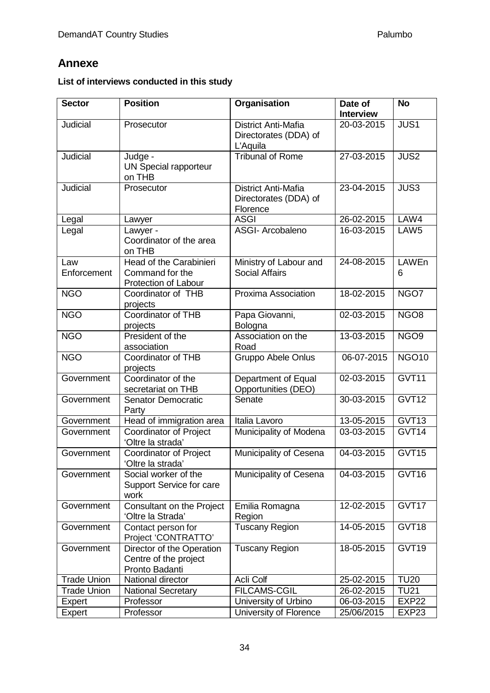# <span id="page-37-0"></span>**Annexe**

# **List of interviews conducted in this study**

| <b>Sector</b>      | <b>Position</b>                                                      | Organisation                                                    | Date of<br><b>Interview</b> | <b>No</b>        |
|--------------------|----------------------------------------------------------------------|-----------------------------------------------------------------|-----------------------------|------------------|
| Judicial           | Prosecutor                                                           | <b>District Anti-Mafia</b><br>Directorates (DDA) of<br>L'Aquila | 20-03-2015                  | JUS1             |
| Judicial           | Judge -<br><b>UN Special rapporteur</b><br>on THB                    | <b>Tribunal of Rome</b>                                         | 27-03-2015                  | <b>JUS2</b>      |
| <b>Judicial</b>    | Prosecutor                                                           | District Anti-Mafia<br>Directorates (DDA) of<br>Florence        | 23-04-2015                  | JUS3             |
| Legal              | Lawyer                                                               | <b>ASGI</b>                                                     | 26-02-2015                  | LAW4             |
| Legal              | Lawyer -<br>Coordinator of the area<br>on THB                        | <b>ASGI- Arcobaleno</b>                                         | 16-03-2015                  | LAW <sub>5</sub> |
| Law<br>Enforcement | Head of the Carabinieri<br>Command for the<br>Protection of Labour   | Ministry of Labour and<br><b>Social Affairs</b>                 | 24-08-2015                  | LAWEn<br>6       |
| <b>NGO</b>         | Coordinator of THB<br>projects                                       | Proxima Association                                             | 18-02-2015                  | NGO7             |
| <b>NGO</b>         | <b>Coordinator of THB</b><br>projects                                | Papa Giovanni,<br>Bologna                                       | 02-03-2015                  | NGO <sub>8</sub> |
| <b>NGO</b>         | President of the<br>association                                      | Association on the<br>Road                                      | 13-03-2015                  | NGO <sub>9</sub> |
| <b>NGO</b>         | Coordinator of THB<br>projects                                       | Gruppo Abele Onlus                                              | 06-07-2015                  | <b>NGO10</b>     |
| Government         | Coordinator of the<br>secretariat on THB                             | Department of Equal<br>Opportunities (DEO)                      | 02-03-2015                  | GVT11            |
| Government         | Senator Democratic<br>Party                                          | Senate                                                          | 30-03-2015                  | GVT12            |
| Government         | Head of immigration area                                             | Italia Lavoro                                                   | 13-05-2015                  | GVT13            |
| Government         | <b>Coordinator of Project</b><br>'Oltre la strada'                   | Municipality of Modena                                          | 03-03-2015                  | GVT14            |
| Government         | <b>Coordinator of Project</b><br>'Oltre la strada'                   | Municipality of Cesena                                          | 04-03-2015                  | GVT15            |
| Government         | Social worker of the<br>Support Service for care<br>work             | Municipality of Cesena                                          | 04-03-2015                  | GVT16            |
| Government         | Consultant on the Project<br>'Oltre la Strada'                       | Emilia Romagna<br>Region                                        | 12-02-2015                  | GVT17            |
| Government         | Contact person for<br>Project 'CONTRATTO'                            | <b>Tuscany Region</b>                                           | 14-05-2015                  | GVT18            |
| Government         | Director of the Operation<br>Centre of the project<br>Pronto Badanti | <b>Tuscany Region</b>                                           | 18-05-2015                  | GVT19            |
| <b>Trade Union</b> | National director                                                    | Acli Colf                                                       | 25-02-2015                  | <b>TU20</b>      |
| <b>Trade Union</b> | <b>National Secretary</b>                                            | <b>FILCAMS-CGIL</b>                                             | 26-02-2015                  | <b>TU21</b>      |
| Expert             | Professor                                                            | University of Urbino                                            | 06-03-2015                  | <b>EXP22</b>     |
| Expert             | Professor                                                            | University of Florence                                          | 25/06/2015                  | EXP23            |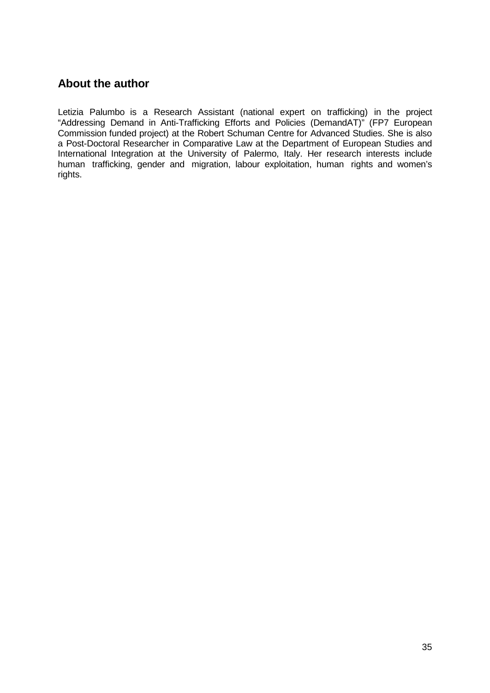# <span id="page-38-0"></span>**About the author**

Letizia Palumbo is a Research Assistant (national expert on trafficking) in the project "Addressing Demand in Anti-Trafficking Efforts and Policies (DemandAT)" (FP7 European Commission funded project) at the Robert Schuman Centre for Advanced Studies. She is also a Post-Doctoral Researcher in Comparative Law at the Department of European Studies and International Integration at the University of Palermo, Italy. Her research interests include human trafficking, gender and migration, labour exploitation, human rights and women's rights.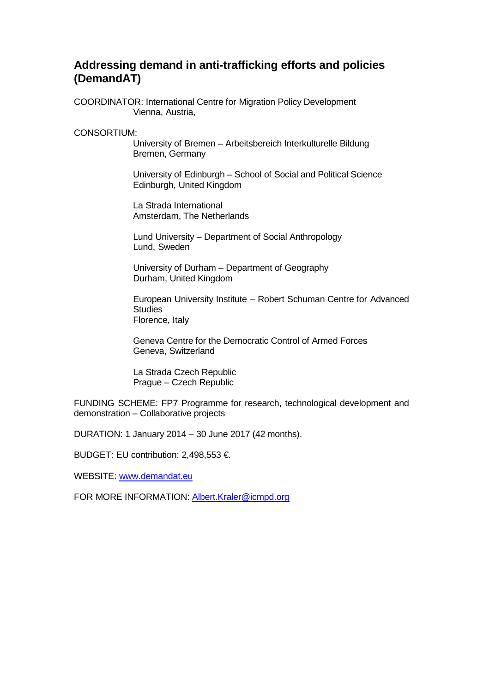# **Addressing demand in anti-trafficking efforts and policies (DemandAT)**

COORDINATOR: International Centre for Migration Policy Development Vienna, Austria,

CONSORTIUM:

University of Bremen – Arbeitsbereich Interkulturelle Bildung Bremen, Germany

University of Edinburgh – School of Social and Political Science Edinburgh, United Kingdom

La Strada International Amsterdam, The Netherlands

Lund University – Department of Social Anthropology Lund, Sweden

University of Durham – Department of Geography Durham, United Kingdom

European University Institute – Robert Schuman Centre for Advanced **Studies** Florence, Italy

Geneva Centre for the Democratic Control of Armed Forces Geneva, Switzerland

La Strada Czech Republic Prague – Czech Republic

FUNDING SCHEME: FP7 Programme for research, technological development and demonstration – Collaborative projects

DURATION: 1 January 2014 – 30 June 2017 (42 months).

BUDGET: EU contribution: 2,498,553 €.

WEBSITE: [www.demandat.eu](http://www.demandat.eu/)

FOR MORE INFORMATION: **[Albert.Kraler@icmpd.org](mailto:Albert.Kraler@icmpd.org)**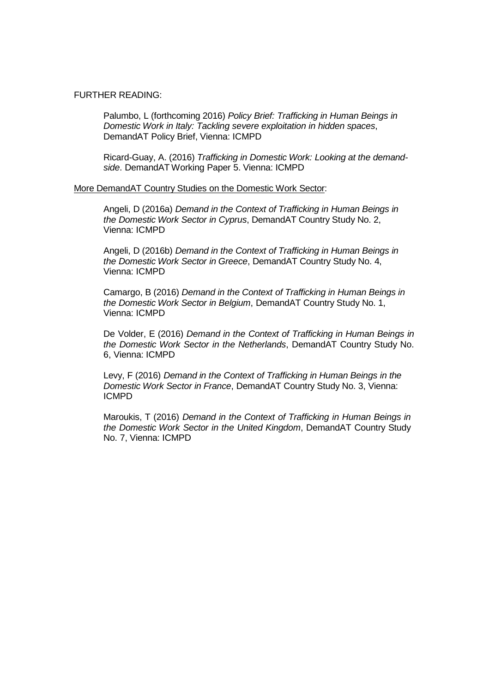#### FURTHER READING:

Palumbo, L (forthcoming 2016) *Policy Brief: Trafficking in Human Beings in Domestic Work in Italy: Tackling severe exploitation in hidden spaces*, DemandAT Policy Brief, Vienna: ICMPD

Ricard-Guay, A. (2016) *Trafficking in Domestic Work: Looking at the demandside*. DemandAT Working Paper 5. Vienna: ICMPD

#### More DemandAT Country Studies on the Domestic Work Sector:

Angeli, D (2016a) *Demand in the Context of Trafficking in Human Beings in the Domestic Work Sector in Cyprus*, DemandAT Country Study No. 2, Vienna: ICMPD

Angeli, D (2016b) *Demand in the Context of Trafficking in Human Beings in the Domestic Work Sector in Greece*, DemandAT Country Study No. 4, Vienna: ICMPD

Camargo, B (2016) *Demand in the Context of Trafficking in Human Beings in the Domestic Work Sector in Belgium*, DemandAT Country Study No. 1, Vienna: ICMPD

De Volder, E (2016) *Demand in the Context of Trafficking in Human Beings in the Domestic Work Sector in the Netherlands*, DemandAT Country Study No. 6, Vienna: ICMPD

Levy, F (2016) *Demand in the Context of Trafficking in Human Beings in the Domestic Work Sector in France*, DemandAT Country Study No. 3, Vienna: ICMPD

Maroukis, T (2016) *Demand in the Context of Trafficking in Human Beings in the Domestic Work Sector in the United Kingdom*, DemandAT Country Study No. 7, Vienna: ICMPD